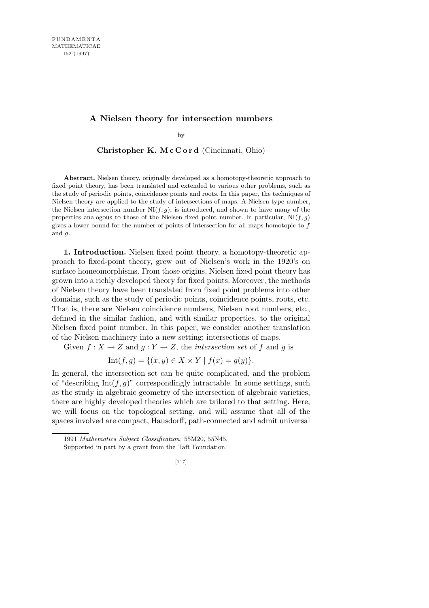## **A Nielsen theory for intersection numbers**

by

**Christopher K. M c C o r d** (Cincinnati, Ohio)

**Abstract.** Nielsen theory, originally developed as a homotopy-theoretic approach to fixed point theory, has been translated and extended to various other problems, such as the study of periodic points, coincidence points and roots. In this paper, the techniques of Nielsen theory are applied to the study of intersections of maps. A Nielsen-type number, the Nielsen intersection number  $N(f,g)$ , is introduced, and shown to have many of the properties analogous to those of the Nielsen fixed point number. In particular,  $NI(f,g)$ gives a lower bound for the number of points of intersection for all maps homotopic to *f* and *g*.

**1. Introduction.** Nielsen fixed point theory, a homotopy-theoretic approach to fixed-point theory, grew out of Nielsen's work in the 1920's on surface homeomorphisms. From those origins, Nielsen fixed point theory has grown into a richly developed theory for fixed points. Moreover, the methods of Nielsen theory have been translated from fixed point problems into other domains, such as the study of periodic points, coincidence points, roots, etc. That is, there are Nielsen coincidence numbers, Nielsen root numbers, etc., defined in the similar fashion, and with similar properties, to the original Nielsen fixed point number. In this paper, we consider another translation of the Nielsen machinery into a new setting: intersections of maps.

Given  $f: X \to Z$  and  $g: Y \to Z$ , the *intersection set* of  $f$  and  $g$  is

$$
Int(f,g) = \{(x,y) \in X \times Y \mid f(x) = g(y)\}.
$$

In general, the intersection set can be quite complicated, and the problem of "describing  $Int(f, g)$ " correspondingly intractable. In some settings, such as the study in algebraic geometry of the intersection of algebraic varieties, there are highly developed theories which are tailored to that setting. Here, we will focus on the topological setting, and will assume that all of the spaces involved are compact, Hausdorff, path-connected and admit universal

<sup>1991</sup> *Mathematics Subject Classification*: 55M20, 55N45.

Supported in part by a grant from the Taft Foundation.

<sup>[117]</sup>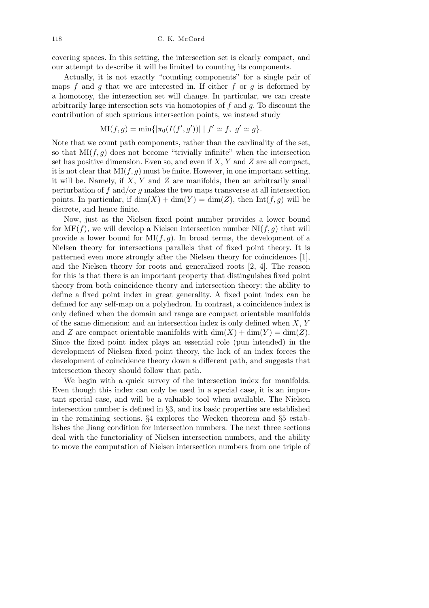covering spaces. In this setting, the intersection set is clearly compact, and our attempt to describe it will be limited to counting its components.

Actually, it is not exactly "counting components" for a single pair of maps *f* and *g* that we are interested in. If either *f* or *g* is deformed by a homotopy, the intersection set will change. In particular, we can create arbitrarily large intersection sets via homotopies of *f* and *g*. To discount the contribution of such spurious intersection points, we instead study

$$
MI(f,g) = \min\{|\pi_0(I(f',g'))| | f' \simeq f, g' \simeq g\}.
$$

Note that we count path components, rather than the cardinality of the set, so that  $\text{MI}(f,g)$  does not become "trivially infinite" when the intersection set has positive dimension. Even so, and even if *X*, *Y* and *Z* are all compact, it is not clear that  $MI(f, g)$  must be finite. However, in one important setting, it will be. Namely, if *X*, *Y* and *Z* are manifolds, then an arbitrarily small perturbation of *f* and/or *g* makes the two maps transverse at all intersection points. In particular, if  $dim(X) + dim(Y) = dim(Z)$ , then  $Int(f, g)$  will be discrete, and hence finite.

Now, just as the Nielsen fixed point number provides a lower bound for  $MF(f)$ , we will develop a Nielsen intersection number  $NI(f, g)$  that will provide a lower bound for  $MI(f, g)$ . In broad terms, the development of a Nielsen theory for intersections parallels that of fixed point theory. It is patterned even more strongly after the Nielsen theory for coincidences [1], and the Nielsen theory for roots and generalized roots [2, 4]. The reason for this is that there is an important property that distinguishes fixed point theory from both coincidence theory and intersection theory: the ability to define a fixed point index in great generality. A fixed point index can be defined for any self-map on a polyhedron. In contrast, a coincidence index is only defined when the domain and range are compact orientable manifolds of the same dimension; and an intersection index is only defined when *X*, *Y* and *Z* are compact orientable manifolds with  $\dim(X) + \dim(Y) = \dim(Z)$ . Since the fixed point index plays an essential role (pun intended) in the development of Nielsen fixed point theory, the lack of an index forces the development of coincidence theory down a different path, and suggests that intersection theory should follow that path.

We begin with a quick survey of the intersection index for manifolds. Even though this index can only be used in a special case, it is an important special case, and will be a valuable tool when available. The Nielsen intersection number is defined in *§*3, and its basic properties are established in the remaining sections. *§*4 explores the Wecken theorem and *§*5 establishes the Jiang condition for intersection numbers. The next three sections deal with the functoriality of Nielsen intersection numbers, and the ability to move the computation of Nielsen intersection numbers from one triple of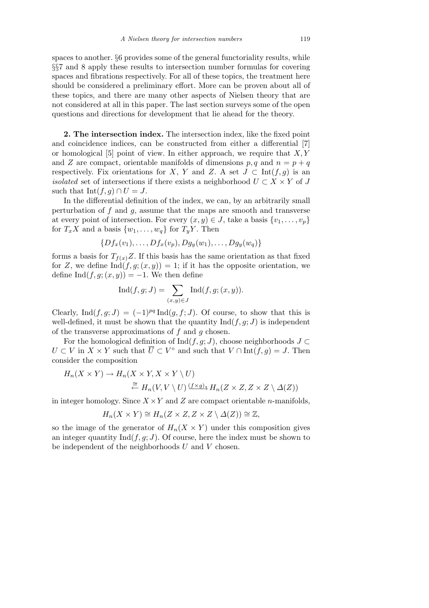spaces to another. *§*6 provides some of the general functoriality results, while *§§*7 and 8 apply these results to intersection number formulas for covering spaces and fibrations respectively. For all of these topics, the treatment here should be considered a preliminary effort. More can be proven about all of these topics, and there are many other aspects of Nielsen theory that are not considered at all in this paper. The last section surveys some of the open questions and directions for development that lie ahead for the theory.

**2. The intersection index.** The intersection index, like the fixed point and coincidence indices, can be constructed from either a differential [7] or homological [5] point of view. In either approach, we require that *X, Y* and *Z* are compact, orientable manifolds of dimensions  $p, q$  and  $n = p + q$ respectively. Fix orientations for *X*, *Y* and *Z*. A set  $J \subset \text{Int}(f,g)$  is an *isolated* set of intersections if there exists a neighborhood  $U \subset X \times Y$  of *J* such that  $Int(f, g) \cap U = J$ .

In the differential definition of the index, we can, by an arbitrarily small perturbation of *f* and *g*, assume that the maps are smooth and transverse at every point of intersection. For every  $(x, y) \in J$ , take a basis  $\{v_1, \ldots, v_p\}$ for  $T_xX$  and a basis  $\{w_1, \ldots, w_q\}$  for  $T_yY$ . Then

$$
\{Df_x(v_1),\ldots,Df_x(v_p),Dg_y(w_1),\ldots,Dg_y(w_q)\}\
$$

forms a basis for  $T_{f(x)}Z$ . If this basis has the same orientation as that fixed for *Z*, we define  $\text{Ind}(f, g; (x, y)) = 1$ ; if it has the opposite orientation, we define Ind $(f, g; (x, y)) = -1$ . We then define

$$
\operatorname{Ind}(f,g;J) = \sum_{(x,y)\in J} \operatorname{Ind}(f,g;(x,y)).
$$

Clearly, Ind $(f, g; J) = (-1)^{pq} \text{Ind}(g, f; J)$ . Of course, to show that this is well-defined, it must be shown that the quantity  $\text{Ind}(f, g; J)$  is independent of the transverse approximations of *f* and *g* chosen.

For the homological definition of  $\text{Ind}(f, g; J)$ , choose neighborhoods  $J \subset$  $U \subset V$  in  $X \times Y$  such that  $\overline{U} \subset V^{\circ}$  and such that  $V \cap \text{Int}(f,g) = J$ . Then consider the composition

$$
H_n(X \times Y) \to H_n(X \times Y, X \times Y \setminus U)
$$
  
\n
$$
\stackrel{\cong}{\leftarrow} H_n(V, V \setminus U) \xrightarrow{(f \times g)_*} H_n(Z \times Z, Z \times Z \setminus \Delta(Z))
$$

in integer homology. Since  $X \times Y$  and Z are compact orientable *n*-manifolds,

$$
H_n(X \times Y) \cong H_n(Z \times Z, Z \times Z \setminus \Delta(Z)) \cong \mathbb{Z},
$$

so the image of the generator of  $H_n(X \times Y)$  under this composition gives an integer quantity  $\text{Ind}(f, g; J)$ . Of course, here the index must be shown to be independent of the neighborhoods *U* and *V* chosen.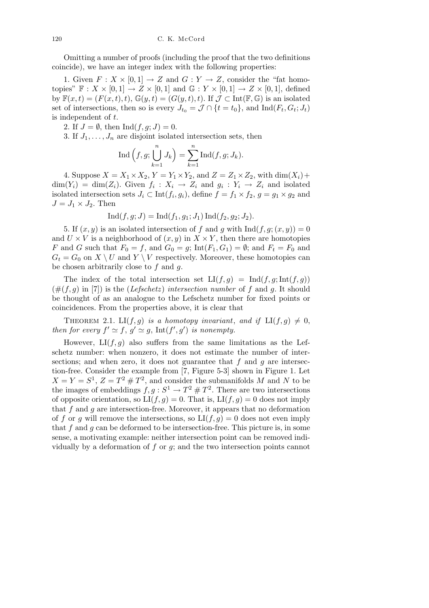Omitting a number of proofs (including the proof that the two definitions coincide), we have an integer index with the following properties:

1. Given  $F: X \times [0,1] \to Z$  and  $G: Y \to Z$ , consider the "fat homotopies"  $\mathbb{F}: X \times [0,1] \to Z \times [0,1]$  and  $\mathbb{G}: Y \times [0,1] \to Z \times [0,1]$ , defined by  $\mathbb{F}(x,t) = (F(x,t), t), \mathbb{G}(y,t) = (G(y,t), t)$ . If  $\mathcal{J} \subset \text{Int}(\mathbb{F}, \mathbb{G})$  is an isolated set of intersections, then so is every  $J_{t_0} = \mathcal{J} \cap \{t = t_0\}$ , and  $\text{Ind}(F_t, G_t; J_t)$ is independent of *t*.

2. If  $J = \emptyset$ , then Ind $(f, q; J) = 0$ .

3. If  $J_1, \ldots, J_n$  are disjoint isolated intersection sets, then

$$
\text{Ind}\left(f,g; \bigcup_{k=1}^n J_k\right) = \sum_{k=1}^n \text{Ind}(f,g; J_k).
$$

4. Suppose  $X = X_1 \times X_2$ ,  $Y = Y_1 \times Y_2$ , and  $Z = Z_1 \times Z_2$ , with dim( $X_i$ )+  $\dim(Y_i) = \dim(Z_i)$ . Given  $f_i: X_i \to Z_i$  and  $g_i: Y_i \to Z_i$  and isolated isolated intersection sets  $J_i \subset \text{Int}(f_i, g_i)$ , define  $f = f_1 \times f_2$ ,  $g = g_1 \times g_2$  and  $J = J_1 \times J_2$ . Then

$$
Ind(f, g; J) = Ind(f_1, g_1; J_1) Ind(f_2, g_2; J_2).
$$

5. If  $(x, y)$  is an isolated intersection of f and g with  $\text{Ind}(f, g; (x, y)) = 0$ and  $U \times V$  is a neighborhood of  $(x, y)$  in  $X \times Y$ , then there are homotopies *F* and *G* such that  $F_0 = f$ , and  $G_0 = g$ ; Int $(F_1, G_1) = \emptyset$ ; and  $F_t = F_0$  and  $G_t = G_0$  on  $X \setminus U$  and  $Y \setminus V$  respectively. Moreover, these homotopies can be chosen arbitrarily close to *f* and *g*.

The index of the total intersection set  $LI(f,g) = Ind(f,g; Int(f,g))$  $(\#(f, q)$  in [7]) is the (*Lefschetz*) *intersection number* of f and q. It should be thought of as an analogue to the Lefschetz number for fixed points or coincidences. From the properties above, it is clear that

THEOREM 2.1. LI $(f, g)$  *is a homotopy invariant*, *and if* LI $(f, g) \neq 0$ , *then for every*  $f' \simeq f$ ,  $g' \simeq g$ ,  $Int(f', g')$  *is nonempty.* 

However,  $LI(f,g)$  also suffers from the same limitations as the Lefschetz number: when nonzero, it does not estimate the number of intersections; and when zero, it does not guarantee that  $f$  and  $g$  are intersection-free. Consider the example from [7, Figure 5-3] shown in Figure 1. Let  $X = Y = S^1$ ,  $Z = T^2 \# T^2$ , and consider the submanifolds *M* and *N* to be the images of embeddings  $f, g: S^1 \to T^2 \# T^2$ . There are two intersections of opposite orientation, so  $LI(f,g) = 0$ . That is,  $LI(f,g) = 0$  does not imply that *f* and *g* are intersection-free. Moreover, it appears that no deformation of *f* or *g* will remove the intersections, so  $LI(f, g) = 0$  does not even imply that *f* and *g* can be deformed to be intersection-free. This picture is, in some sense, a motivating example: neither intersection point can be removed individually by a deformation of *f* or *g*; and the two intersection points cannot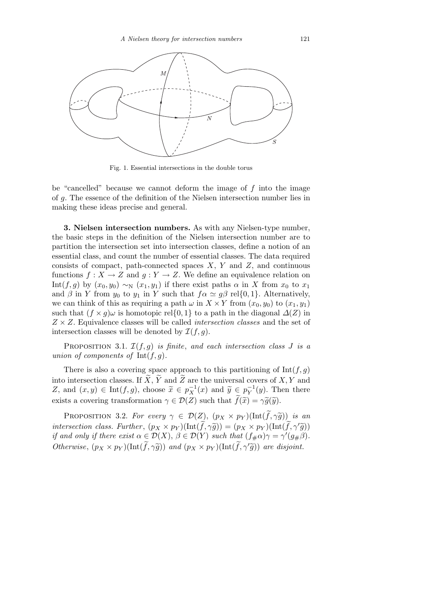

Fig. 1. Essential intersections in the double torus

be "cancelled" because we cannot deform the image of *f* into the image of *g*. The essence of the definition of the Nielsen intersection number lies in making these ideas precise and general.

**3. Nielsen intersection numbers.** As with any Nielsen-type number, the basic steps in the definition of the Nielsen intersection number are to partition the intersection set into intersection classes, define a notion of an essential class, and count the number of essential classes. The data required consists of compact, path-connected spaces *X*, *Y* and *Z*, and continuous functions  $f: X \to Z$  and  $g: Y \to Z$ . We define an equivalence relation on Int(f, g) by  $(x_0, y_0) \sim_N (x_1, y_1)$  if there exist paths  $\alpha$  in X from  $x_0$  to  $x_1$ and  $\beta$  in *Y* from  $y_0$  to  $y_1$  in *Y* such that  $f \alpha \simeq g \beta$  rel{0,1}. Alternatively, we can think of this as requiring a path  $\omega$  in  $X \times Y$  from  $(x_0, y_0)$  to  $(x_1, y_1)$ such that  $(f \times g)$  is homotopic rel{0,1} to a path in the diagonal  $\Delta(Z)$  in *Z × Z*. Equivalence classes will be called *intersection classes* and the set of intersection classes will be denoted by  $\mathcal{I}(f,g)$ .

PROPOSITION 3.1.  $\mathcal{I}(f, g)$  *is finite*, and each intersection class *J is a union of components of* Int(*f, g*)*.*

There is also a covering space approach to this partitioning of  $Int(f, g)$ into intersection classes. If  $\widetilde{X}$ ,  $\widetilde{Y}$  and  $\widetilde{Z}$  are the universal covers of  $X, Y$  and *Z*, and  $(x, y) \in \text{Int}(f, g)$ , choose  $\widetilde{x} \in p_X^{-1}(x)$  and  $\widetilde{y} \in p_Y^{-1}(y)$ . Then there exists a covering transformation  $\gamma \in \mathcal{D}(Z)$  such that  $\tilde{f}(\tilde{x}) = \gamma \tilde{g}(\tilde{y})$ .

PROPOSITION 3.2. *For every*  $\gamma \in \mathcal{D}(Z)$ ,  $(p_X \times p_Y)(\text{Int}(\tilde{f}, \gamma \tilde{g}))$  *is an intersection class. Further*,  $(p_X \times p_Y)(\text{Int}(\widetilde{f}, \gamma \widetilde{g})) = (p_X \times p_Y)(\text{Int}(\widetilde{f}, \gamma' \widetilde{g}))$ *if and only if there exist*  $\alpha \in \mathcal{D}(X)$ ,  $\beta \in \mathcal{D}(Y)$  *such that*  $(f_{\#}\alpha)\gamma = \gamma'(g_{\#}\beta)$ . *Otherwise*,  $(p_X \times p_Y)(\text{Int}(\tilde{f}, \gamma \tilde{g}))$  *and*  $(p_X \times p_Y)(\text{Int}(\tilde{f}, \gamma' \tilde{g}))$  *are disjoint.*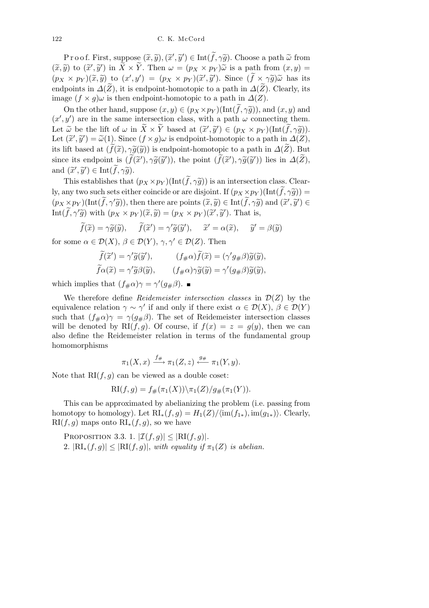$\text{Proof. First, suppose } (\tilde{x}, \tilde{y}), (\tilde{x}', \tilde{y}') \in \text{Int}(\tilde{f}, \gamma \tilde{g})$ . Choose a path  $\tilde{\omega}$  from  $(\widetilde{x}, \widetilde{y})$  to  $(\widetilde{x}', \widetilde{y}')$  in  $\widetilde{X} \times \widetilde{Y}$ . Then  $\omega = (p_X \times p_Y) \widetilde{\omega}$  is a path from  $(x, y) =$  $(p_X \times p_Y)(\widetilde{x}, \widetilde{y})$  to  $(x', y') = (p_X \times p_Y)(\widetilde{x}', \widetilde{y}')$ . Since  $(\widetilde{f} \times \gamma \widetilde{g})\widetilde{\omega}$  has its endpoints in  $\Delta(Z)$ , it is endpoint-homotopic to a path in  $\Delta(Z)$ . Clearly, its image  $(f \times g)$ *ω* is then endpoint-homotopic to a path in  $\Delta(Z)$ .

On the other hand, suppose  $(x, y) \in (p_X \times p_Y)(\text{Int}(\hat{f}, \hat{\gamma}\hat{g}))$ , and  $(x, y)$  and  $(x', y')$  are in the same intersection class, with a path  $\omega$  connecting them. Let  $\widetilde{\omega}$  be the lift of  $\omega$  in  $\widetilde{X} \times \widetilde{Y}$  based at  $(\widetilde{x}', \widetilde{y}') \in (p_X \times p_Y)(\text{Int}(\widetilde{f}, \gamma \widetilde{g}))$ . Let  $(\tilde{x}', \tilde{y}') = \tilde{\omega}(1)$ . Since  $(f \times g) \omega$  is endpoint-homotopic to a path in  $\Delta(Z)$ , its lift based at  $(\tilde{f}(\tilde{x}), \gamma \tilde{g}(\tilde{y}))$  is endpoint-homotopic to a path in  $\Delta(\tilde{Z})$ . But since its endpoint is  $(\tilde{f}(\tilde{x}'), \gamma \tilde{g}(\tilde{y}'))$ , the point  $(\tilde{f}(\tilde{x}'), \gamma \tilde{g}(\tilde{y}'))$  lies in  $\Delta(\tilde{Z})$ , and  $(\widetilde{x}', \widetilde{y}') \in \text{Int}(\widetilde{f}, \gamma \widetilde{g}).$ 

This establishes that  $(p_X \times p_Y)(\text{Int}(\tilde{f}, \gamma \tilde{g}))$  is an intersection class. Clearly, any two such sets either coincide or are disjoint. If  $(p_X \times p_Y)(\text{Int}(\widetilde{f}, \gamma \widetilde{g})) =$  $(p_X \times p_Y)(\text{Int}(\widetilde{f}, \gamma' \widetilde{g}))$ , then there are points  $(\widetilde{x}, \widetilde{y}) \in \text{Int}(\widetilde{f}, \gamma \widetilde{g})$  and  $(\widetilde{x}', \widetilde{y}') \in$ Int $(\widetilde{f}, \gamma' \widetilde{g})$  with  $(p_X \times p_Y)(\widetilde{x}, \widetilde{y}) = (p_X \times p_Y)(\widetilde{x}', \widetilde{y}')$ . That is,

$$
\widetilde{f}(\widetilde{x}) = \gamma \widetilde{g}(\widetilde{y}), \quad \widetilde{f}(\widetilde{x}') = \gamma' \widetilde{g}(\widetilde{y}'), \quad \widetilde{x}' = \alpha(\widetilde{x}), \quad \widetilde{y}' = \beta(\widetilde{y})
$$

for some  $\alpha \in \mathcal{D}(X)$ ,  $\beta \in \mathcal{D}(Y)$ ,  $\gamma, \gamma' \in \mathcal{D}(Z)$ . Then

$$
\begin{aligned}\n\widetilde{f}(\widetilde{x}') &= \gamma' \widetilde{g}(\widetilde{y}'), & (f_{\#}\alpha)\widetilde{f}(\widetilde{x}) &= (\gamma' g_{\#}\beta)\widetilde{g}(\widetilde{y}), \\
\widetilde{f}\alpha(\widetilde{x}) &= \gamma' \widetilde{g}\beta(\widetilde{y}), & (f_{\#}\alpha)\gamma \widetilde{g}(\widetilde{y}) &= \gamma' (g_{\#}\beta)\widetilde{g}(\widetilde{y}),\n\end{aligned}
$$

which implies that  $(f_{\#}\alpha)\gamma = \gamma'(g_{\#}\beta)$ .

We therefore define *Reidemeister intersection classes* in  $\mathcal{D}(Z)$  by the equivalence relation  $\gamma \sim \gamma'$  if and only if there exist  $\alpha \in \mathcal{D}(X)$ ,  $\beta \in \mathcal{D}(Y)$ such that  $(f_{\#}\alpha)\gamma = \gamma(g_{\#}\beta)$ . The set of Reidemeister intersection classes will be denoted by RI $(f, g)$ . Of course, if  $f(x) = z = g(y)$ , then we can also define the Reidemeister relation in terms of the fundamental group homomorphisms

$$
\pi_1(X,x) \xrightarrow{f_\#} \pi_1(Z,z) \xleftarrow{g_\#} \pi_1(Y,y).
$$

Note that  $RI(f, q)$  can be viewed as a double coset:

$$
RI(f, g) = f_{\#}(\pi_1(X)) \setminus \pi_1(Z) / g_{\#}(\pi_1(Y)).
$$

This can be approximated by abelianizing the problem (i.e. passing from homotopy to homology). Let  $\mathrm{RI}_*(f, g) = H_1(Z)/\langle \mathrm{im}(f_{1*}), \mathrm{im}(g_{1*}) \rangle$ . Clearly,  $\mathrm{RI}(f, g)$  maps onto  $\mathrm{RI}_*(f, g)$ , so we have

PROPOSITION 3.3. 1.  $|\mathcal{I}(f,g)| \leq |\text{RI}(f,g)|$ . 2.  $|\text{RI}_*(f, g)| \leq |\text{RI}(f, g)|$ , *with equality if*  $\pi_1(Z)$  *is abelian.*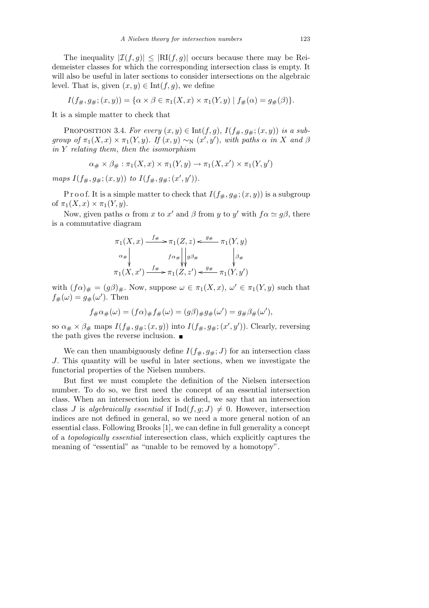The inequality  $|\mathcal{I}(f,g)| \leq |\text{RI}(f,g)|$  occurs because there may be Reidemeister classes for which the corresponding intersection class is empty. It will also be useful in later sections to consider intersections on the algebraic level. That is, given  $(x, y) \in \text{Int}(f, g)$ , we define

$$
I(f_{\#},g_{\#};(x,y))=\{\alpha\times\beta\in\pi_1(X,x)\times\pi_1(Y,y)\mid f_{\#}(\alpha)=g_{\#}(\beta)\}.
$$

It is a simple matter to check that

PROPOSITION 3.4. *For every*  $(x, y) \in \text{Int}(f, g)$ ,  $I(f_{\#}, g_{\#}; (x, y))$  *is a subgroup of*  $\pi_1(X, x) \times \pi_1(Y, y)$ *. If*  $(x, y) \sim_N (x', y')$ *, with paths*  $\alpha$  *in*  $X$  *and*  $\beta$ *in Y relating them*, *then the isomorphism*

$$
\alpha_{\#} \times \beta_{\#} : \pi_1(X, x) \times \pi_1(Y, y) \to \pi_1(X, x') \times \pi_1(Y, y')
$$

*maps*  $I(f_{\#}, g_{\#}; (x, y))$  *to*  $I(f_{\#}, g_{\#}; (x', y')).$ 

P r o o f. It is a simple matter to check that  $I(f_{\#}, g_{\#}; (x, y))$  is a subgroup of  $\pi_1(X, x) \times \pi_1(Y, y)$ .

Now, given paths  $\alpha$  from *x* to *x'* and  $\beta$  from *y* to *y'* with  $f\alpha \simeq g\beta$ , there is a commutative diagram

$$
\pi_1(X, x) \xrightarrow{f_\#} \pi_1(Z, z) \xleftarrow{g_\#} \pi_1(Y, y)
$$
\n
$$
\alpha_\# \downarrow \qquad \qquad f \alpha_\# \downarrow \downarrow g \beta_\# \qquad \qquad \downarrow g_\#
$$
\n
$$
\pi_1(X, x') \xrightarrow{f_\#} \pi_1(Z, z') \xleftarrow{g_\#} \pi_1(Y, y')
$$

with  $(f\alpha)_\# = (g\beta)_\#$ . Now, suppose  $\omega \in \pi_1(X, x)$ ,  $\omega' \in \pi_1(Y, y)$  such that  $f_{\#}(\omega) = g_{\#}(\omega')$ . Then

$$
f_{\#}\alpha_{\#}(\omega) = (f\alpha)_{\#}f_{\#}(\omega) = (g\beta)_{\#}g_{\#}(\omega') = g_{\#}\beta_{\#}(\omega'),
$$

so  $\alpha_{\#} \times \beta_{\#}$  maps  $I(f_{\#}, g_{\#}; (x, y))$  into  $I(f_{\#}, g_{\#}; (x', y'))$ . Clearly, reversing the path gives the reverse inclusion.

We can then unambiguously define  $I(f_{\#}, g_{\#}; J)$  for an intersection class *J*. This quantity will be useful in later sections, when we investigate the functorial properties of the Nielsen numbers.

But first we must complete the definition of the Nielsen intersection number. To do so, we first need the concept of an essential intersection class. When an intersection index is defined, we say that an intersection class *J* is *algebraically essential* if  $\text{Ind}(f, g; J) \neq 0$ . However, intersection indices are not defined in general, so we need a more general notion of an essential class. Following Brooks [1], we can define in full generality a concept of a *topologically essential* interesection class, which explicitly captures the meaning of "essential" as "unable to be removed by a homotopy".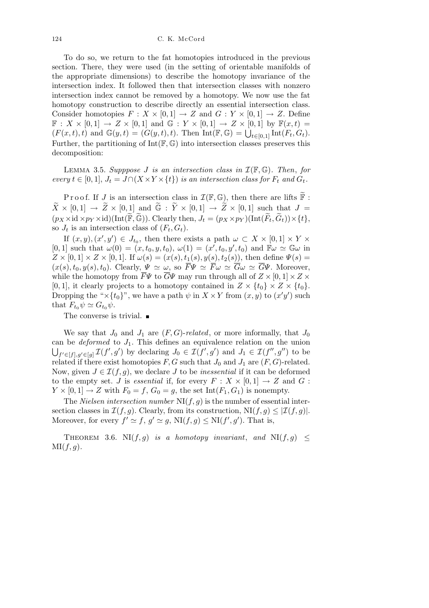To do so, we return to the fat homotopies introduced in the previous section. There, they were used (in the setting of orientable manifolds of the appropriate dimensions) to describe the homotopy invariance of the intersection index. It followed then that intersection classes with nonzero intersection index cannot be removed by a homotopy. We now use the fat homotopy construction to describe directly an essential intersection class. Consider homotopies  $F: X \times [0,1] \rightarrow Z$  and  $G: Y \times [0,1] \rightarrow Z$ . Define  $\mathbb{F}: X \times [0,1] \to Z \times [0,1]$  and  $\mathbb{G}: Y \times [0,1] \to Z \times [0,1]$  by  $\mathbb{F}(x,t) =$  $F: \mathcal{X} \times [0, 1] \to \mathbb{Z} \times [0, 1]$  and  $\mathbb{G}: \mathcal{Y} \times [0, 1] \to \mathbb{Z} \times [0, 1]$  by  $\mathbb{F}(x, t) = (F(x, t), t)$  and  $\mathbb{G}(y, t) = (G(y, t), t)$ . Then  $\text{Int}(\mathbb{F}, \mathbb{G}) = \bigcup_{t \in [0, 1]} \text{Int}(F_t, G_t)$ . Further, the partitioning of  $Int(\mathbb{F}, \mathbb{G})$  into intersection classes preserves this decomposition:

LEMMA 3.5. *Supppose J is an intersection class in*  $\mathcal{I}(\mathbb{F}, \mathbb{G})$ *. Then, for*  $every \ t \in [0,1], \ J_t = J \cap (X \times Y \times \{t\})$  *is an intersection class for*  $F_t$  *and*  $G_t$ *.* 

Proof. If *J* is an intersection class in  $\mathcal{I}(\mathbb{F}, \mathbb{G})$ , then there are lifts  $\mathbb{\tilde{F}}$ :  $\widetilde{X} \times [0,1] \rightarrow \widetilde{Z} \times [0,1]$  and  $\widetilde{\mathbb{G}} : \widetilde{Y} \times [0,1] \rightarrow \widetilde{Z} \times [0,1]$  such that  $J =$  $(p_X \times id \times p_Y \times id)(Int(\widetilde{\mathbb{F}}, \widetilde{\mathbb{G}})).$  Clearly then,  $J_t = (p_X \times p_Y)(Int(\widetilde{F}_t, \widetilde{G}_t)) \times \{t\},$ so  $J_t$  is an intersection class of  $(F_t, G_t)$ .

If  $(x, y)$ ,  $(x', y') \in J_{t_0}$ , then there exists a path  $\omega \subset X \times [0, 1] \times Y \times$  $[0,1]$  such that  $\omega(0) = (x, t_0, y, t_0), \omega(1) = (x', t_0, y', t_0)$  and  $\mathbb{F}\omega \simeq \mathbb{G}\omega$  in  $Z \times [0,1] \times Z \times [0,1]$ . If  $\omega(s) = (x(s), t_1(s), y(s), t_2(s))$ , then define  $\Psi(s) =$  $(x(s), t_0, y(s), t_0)$ . Clearly,  $\Psi \simeq \omega$ , so  $\overline{F}\Psi \simeq \overline{F}\omega \simeq \overline{G}\omega \simeq \overline{G}\Psi$ . Moreover, while the homotopy from  $\overline{F}\Psi$  to  $\overline{G}\Psi$  may run through all of  $Z \times [0,1] \times Z \times$  $[0,1]$ , it clearly projects to a homotopy contained in  $Z \times \{t_0\} \times Z \times \{t_0\}$ . Dropping the " $\times$ {*t*<sub>0</sub>}", we have a path  $\psi$  in  $X \times Y$  from  $(x, y)$  to  $(x'y')$  such that  $F_{t_0} \psi \simeq G_{t_0} \psi$ .

The converse is trivial.  $\blacksquare$ 

We say that  $J_0$  and  $J_1$  are  $(F, G)$ -*related*, or more informally, that  $J_0$ can be *deformed* to  $J_1$ . This defines an equivalence relation on the union  $f' \in [f], g' \in [g]} \mathcal{I}(f', g')$  by declaring  $J_0 \in \mathcal{I}(f', g')$  and  $J_1 \in \mathcal{I}(f'', g'')$  to be related if there exist homotopies  $F, G$  such that  $J_0$  and  $J_1$  are  $(F, G)$ -related. Now, given  $J \in \mathcal{I}(f, g)$ , we declare *J* to be *inessential* if it can be deformed to the empty set. *J* is *essential* if, for every  $F: X \times [0,1] \rightarrow Z$  and  $G:$  $Y \times [0,1] \rightarrow Z$  with  $F_0 = f$ ,  $G_0 = g$ , the set Int(*F*<sub>1</sub>, *G*<sub>1</sub>) is nonempty.

The *Nielsen intersection number*  $N(f, g)$  is the number of essential intersection classes in  $\mathcal{I}(f,g)$ . Clearly, from its construction,  $\text{NI}(f,g) \leq |\mathcal{I}(f,g)|$ . Moreover, for every  $f' \simeq f$ ,  $g' \simeq g$ ,  $N I(f, g) \leq N I(f', g')$ . That is,

THEOREM 3.6. NI $(f, g)$  *is a homotopy invariant*, *and* NI $(f, g) \leq$ MI(*f, g*)*.*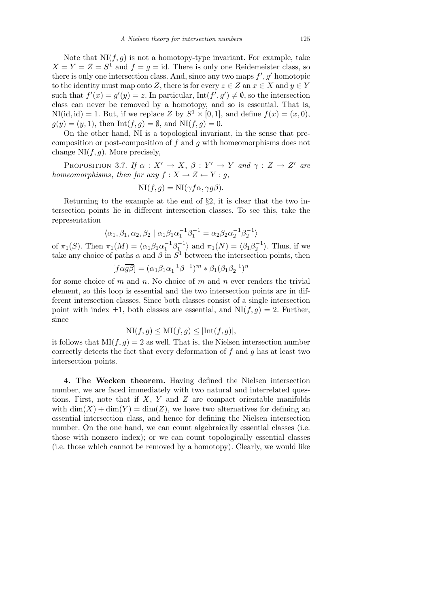Note that  $N(f, g)$  is not a homotopy-type invariant. For example, take  $X = Y = Z = S<sup>1</sup>$  and  $f = g = id$ . There is only one Reidemeister class, so there is only one intersection class. And, since any two maps  $f', g'$  homotopic to the identity must map onto *Z*, there is for every  $z \in Z$  an  $x \in X$  and  $y \in Y$ such that  $f'(x) = g'(y) = z$ . In particular,  $Int(f', g') \neq \emptyset$ , so the intersection class can never be removed by a homotopy, and so is essential. That is,  $N(Iid, id) = 1$ . But, if we replace *Z* by  $S^1 \times [0, 1]$ , and define  $f(x) = (x, 0)$ ,  $g(y) = (y, 1)$ , then Int(*f, g*) =  $\emptyset$ , and NI(*f, g*) = 0.

On the other hand, NI is a topological invariant, in the sense that precomposition or post-composition of *f* and *g* with homeomorphisms does not change  $NI(f, g)$ . More precisely,

PROPOSITION 3.7. *If*  $\alpha : X' \to X$ ,  $\beta : Y' \to Y$  and  $\gamma : Z \to Z'$  are *homeomorphisms*, *then for any*  $f: X \to Z \leftarrow Y : g$ ,

$$
NI(f,g) = NI(\gamma f \alpha, \gamma g \beta).
$$

Returning to the example at the end of *§*2, it is clear that the two intersection points lie in different intersection classes. To see this, take the representation

$$
\langle \alpha_1, \beta_1, \alpha_2, \beta_2 \mid \alpha_1 \beta_1 \alpha_1^{-1} \beta_1^{-1} = \alpha_2 \beta_2 \alpha_2^{-1} \beta_2^{-1} \rangle
$$

of  $\pi_1(S)$ . Then  $\pi_1(M) = \langle \alpha_1 \beta_1 \alpha_1^{-1} \beta_1^{-1} \rangle$  and  $\pi_1(N) = \langle \beta_1 \beta_2^{-1} \rangle$ . Thus, if we take any choice of paths  $\alpha$  and  $\beta$  in  $S^1$  between the intersection points, then

$$
[f\alpha\overline{g\beta}] = (\alpha_1\beta_1\alpha_1^{-1}\beta^{-1})^m \ast \beta_1(\beta_1\beta_2^{-1})^n
$$

for some choice of *m* and *n*. No choice of *m* and *n* ever renders the trivial element, so this loop is essential and the two intersection points are in different intersection classes. Since both classes consist of a single intersection point with index  $\pm 1$ , both classes are essential, and  $N I(f,g) = 2$ . Further, since

$$
\text{NI}(f,g) \le \text{MI}(f,g) \le |\text{Int}(f,g)|,
$$

it follows that  $M(f, g) = 2$  as well. That is, the Nielsen intersection number correctly detects the fact that every deformation of *f* and *g* has at least two intersection points.

**4. The Wecken theorem.** Having defined the Nielsen intersection number, we are faced immediately with two natural and interrelated questions. First, note that if *X*, *Y* and *Z* are compact orientable manifolds with  $\dim(X) + \dim(Y) = \dim(Z)$ , we have two alternatives for defining an essential intersection class, and hence for defining the Nielsen intersection number. On the one hand, we can count algebraically essential classes (i.e. those with nonzero index); or we can count topologically essential classes (i.e. those which cannot be removed by a homotopy). Clearly, we would like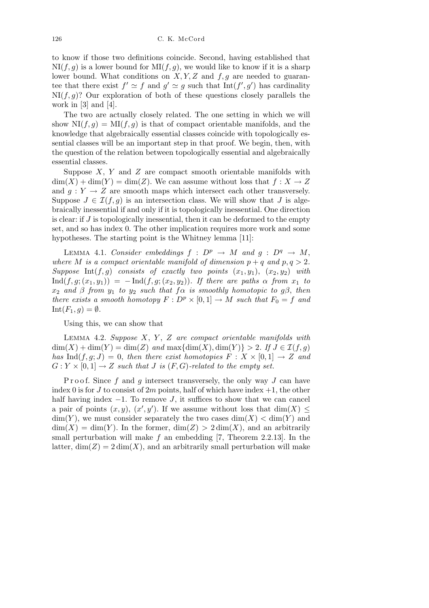to know if those two definitions coincide. Second, having established that  $NI(f, g)$  is a lower bound for  $MI(f, g)$ , we would like to know if it is a sharp lower bound. What conditions on *X, Y, Z* and *f, g* are needed to guarantee that there exist  $f' \simeq f$  and  $g' \simeq g$  such that  $Int(f', g')$  has cardinality  $N I(f, g)$ ? Our exploration of both of these questions closely parallels the work in  $[3]$  and  $[4]$ .

The two are actually closely related. The one setting in which we will show  $N(f, g) = M(f, g)$  is that of compact orientable manifolds, and the knowledge that algebraically essential classes coincide with topologically essential classes will be an important step in that proof. We begin, then, with the question of the relation between topologically essential and algebraically essential classes.

Suppose *X*, *Y* and *Z* are compact smooth orientable manifolds with  $dim(X) + dim(Y) = dim(Z)$ . We can assume without loss that  $f: X \to Z$ and  $g: Y \to Z$  are smooth maps which intersect each other transversely. Suppose  $J \in \mathcal{I}(f,g)$  is an intersection class. We will show that *J* is algebraically inessential if and only if it is topologically inessential. One direction is clear: if *J* is topologically inessential, then it can be deformed to the empty set, and so has index 0. The other implication requires more work and some hypotheses. The starting point is the Whitney lemma [11]:

LEMMA 4.1. *Consider embeddings*  $f : D^p \rightarrow M$  *and*  $g : D^q \rightarrow M$ , *where M is a compact orientable manifold of dimension*  $p + q$  *and*  $p, q > 2$ *. Suppose* Int $(f, g)$  *consists of exactly two points*  $(x_1, y_1)$ ,  $(x_2, y_2)$  *with*  $\text{Ind}(f, g; (x_1, y_1)) = -\text{Ind}(f, g; (x_2, y_2))$ *. If there are paths*  $\alpha$  *from*  $x_1$  *to*  $x_2$  *and*  $\beta$  *from*  $y_1$  *to*  $y_2$  *such that*  $f\alpha$  *is smoothly homotopic to*  $g\beta$ , *then there exists a smooth homotopy*  $F: D^p \times [0,1] \to M$  *such that*  $F_0 = f$  *and*  $Int(F_1, g) = \emptyset.$ 

Using this, we can show that

Lemma 4.2. *Suppose X*, *Y* , *Z are compact orientable manifolds with*  $\dim(X) + \dim(Y) = \dim(Z)$  *and*  $\max{\{\dim(X), \dim(Y)\}} > 2$ *. If*  $J \in \mathcal{I}(f, g)$ *has* Ind $(f, g; J) = 0$ , *then there exist homotopies*  $F: X \times [0, 1] \rightarrow Z$  *and*  $G: Y \times [0,1] \rightarrow Z$  *such that J is* (*F, G*)-*related to the empty set.* 

P r o o f. Since f and g intersect transversely, the only way J can have index 0 is for  $J$  to consist of  $2m$  points, half of which have index  $+1$ , the other half having index *−*1. To remove *J*, it suffices to show that we can cancel a pair of points  $(x, y)$ ,  $(x', y')$ . If we assume without loss that dim(*X*)  $\leq$  $\dim(Y)$ , we must consider separately the two cases  $\dim(X) < \dim(Y)$  and  $\dim(X) = \dim(Y)$ . In the former,  $\dim(Z) > 2 \dim(X)$ , and an arbitrarily small perturbation will make *f* an embedding [7, Theorem 2.2.13]. In the latter,  $\dim(Z) = 2 \dim(X)$ , and an arbitrarily small perturbation will make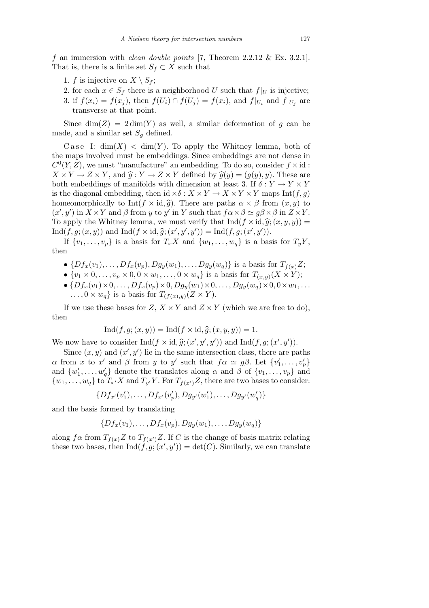*f* an immersion with *clean double points* [7, Theorem 2.2.12 & Ex. 3.2.1]. That is, there is a finite set  $S_f \subset X$  such that

- 1. *f* is injective on  $X \setminus S_f$ ;
- 2. for each  $x \in S_f$  there is a neighborhood *U* such that  $f|_U$  is injective;
- 3. if  $f(x_i) = f(x_j)$ , then  $f(U_i) \cap f(U_j) = f(x_i)$ , and  $f|_{U_i}$  and  $f|_{U_j}$  are transverse at that point.

Since  $\dim(Z) = 2 \dim(Y)$  as well, a similar deformation of *g* can be made, and a similar set  $S_q$  defined.

Case I:  $\dim(X) < \dim(Y)$ . To apply the Whitney lemma, both of the maps involved must be embeddings. Since embeddings are not dense in  $C<sup>0</sup>(Y, Z)$ , we must "manufacture" an embedding. To do so, consider  $f \times id$ :  $X \times Y \to Z \times Y$ , and  $\hat{g}: Y \to Z \times Y$  defined by  $\hat{g}(y) = (g(y), y)$ . These are both embeddings of manifolds with dimension at least 3. If  $\delta: Y \to Y \times Y$ is the diagonal embedding, then id  $\times \delta : X \times Y \to X \times Y \times Y$  maps Int(*f, q*) homeomorphically to Int( $f \times id$ ,  $\hat{g}$ ). There are paths  $\alpha \times \beta$  from  $(x, y)$  to  $(x', y')$  in  $X \times Y$  and  $\beta$  from y to y' in Y such that  $f \alpha \times \beta \simeq g \beta \times \beta$  in  $Z \times Y$ . To apply the Whitney lemma, we must verify that  $\text{Ind}(f \times \text{id}, \hat{g}; (x, y, y)) =$  $\text{Ind}(f, g; (x, y))$  and  $\text{Ind}(f \times \text{id}, \hat{g}; (x', y', y')) = \text{Ind}(f, g; (x', y')).$ 

If  $\{v_1, \ldots, v_p\}$  is a basis for  $T_x X$  and  $\{w_1, \ldots, w_q\}$  is a basis for  $T_y Y$ , then

- $\bullet$  { $Df_x(v_1), \ldots, Df_x(v_p), Dg_y(w_1), \ldots, Dg_y(w_q)$ } is a basis for  $T_{f(x)}Z$ ;
- $\{v_1 \times 0, \ldots, v_p \times 0, 0 \times w_1, \ldots, 0 \times w_q\}$  is a basis for  $T_{(x,y)}(X \times Y)$ ;
- $\{Df_x(v_1) \times 0, \ldots, Df_x(v_p) \times 0, Dg_y(w_1) \times 0, \ldots, Dg_y(w_q) \times 0, 0 \times w_1, \ldots\}$  $\dots, 0 \times w_q$  is a basis for  $T_{(f(x),y)}(Z \times Y)$ .

If we use these bases for  $Z$ ,  $X \times Y$  and  $Z \times Y$  (which we are free to do), then

$$
Ind(f, g; (x, y)) = Ind(f \times id, \hat{g}; (x, y, y)) = 1.
$$

We now have to consider  $\text{Ind}(f \times \text{id}, \hat{g}; (x', y', y'))$  and  $\text{Ind}(f, g; (x', y')).$ 

Since  $(x, y)$  and  $(x', y')$  lie in the same intersection class, there are paths *α* from *x* to *x*<sup>*'*</sup> and *β* from *y* to *y*<sup>*'*</sup> such that  $f \alpha \simeq g \beta$ . Let  $\{v'_1, \ldots, v'_p\}$ and  $\{w'_1, \ldots, w'_q\}$  denote the translates along  $\alpha$  and  $\beta$  of  $\{v_1, \ldots, v_p\}$  and  $\{w_1, \ldots, w_q\}$  to  $T_{x'}X$  and  $T_{y'}Y$ . For  $T_{f(x')}Z$ , there are two bases to consider:

$$
\{Df_{x'}(v'_1),\ldots,Df_{x'}(v'_p),Dg_{y'}(w'_1),\ldots,Dg_{y'}(w'_q)\}\
$$

and the basis formed by translating

$$
\{Df_x(v_1),\ldots,Df_x(v_p),Dg_y(w_1),\ldots,Dg_y(w_q)\}\
$$

along  $f\alpha$  from  $T_{f(x)}Z$  to  $T_{f(x')Z}$ . If C is the change of basis matrix relating these two bases, then  $\text{Ind}(f, g; (x', y')) = \text{det}(C)$ . Similarly, we can translate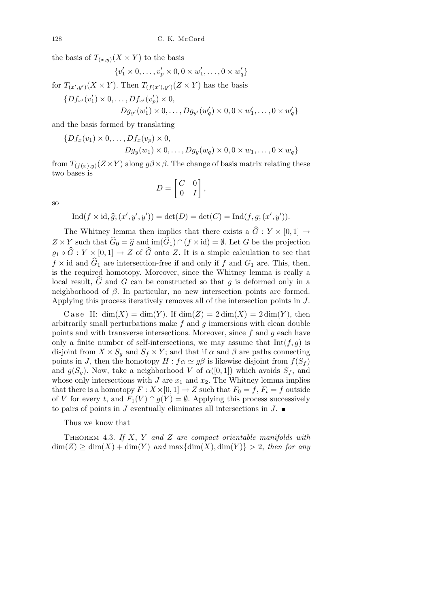the basis of  $T_{(x,y)}(X \times Y)$  to the basis

$$
\{v_1' \times 0, \dots, v_p' \times 0, 0 \times w_1', \dots, 0 \times w_q'\}
$$

for  $T_{(x',y')}(X \times Y)$ . Then  $T_{(f(x'),y')}(Z \times Y)$  has the basis

$$
\{Df_{x'}(v'_1) \times 0, \dots, Df_{x'}(v'_p) \times 0, Dg_{y'}(w'_1) \times 0, \dots, Dg_{y'}(w'_q) \times 0, 0 \times w'_1, \dots, 0 \times w'_q\}
$$

and the basis formed by translating

$$
\{Df_x(v_1) \times 0, \dots, Df_x(v_p) \times 0,
$$
  

$$
Dg_y(w_1) \times 0, \dots, Dg_y(w_q) \times 0, 0 \times w_1, \dots, 0 \times w_q\}
$$

from  $T_{(f(x),y)}(Z \times Y)$  along  $g\beta \times \beta$ . The change of basis matrix relating these two bases is  $\overline{r}$  $\overline{a}$ 

$$
D = \begin{bmatrix} C & 0 \\ 0 & I \end{bmatrix},
$$

so

$$
Ind(f \times id, \hat{g}; (x', y', y')) = det(D) = det(C) = Ind(f, g; (x', y')).
$$

The Whitney lemma then implies that there exists a  $\hat{G}$  :  $Y \times [0,1] \rightarrow$  $Z \times Y$  such that  $\hat{G}_0 = \hat{g}$  and  $\text{im}(\hat{G}_1) \cap (f \times id) = \emptyset$ . Let *G* be the projection  $\varrho_1 \circ \widehat{G} : Y \times [0,1] \to Z$  of  $\widehat{G}$  onto *Z*. It is a simple calculation to see that  $f \times$  id and  $\widehat{G}_1$  are intersection-free if and only if  $f$  and  $G_1$  are. This, then, is the required homotopy. Moreover, since the Whitney lemma is really a local result,  $\hat{G}$  and  $G$  can be constructed so that  $q$  is deformed only in a neighborhood of *β*. In particular, no new intersection points are formed. Applying this process iteratively removes all of the intersection points in *J*.

Case II:  $dim(X) = dim(Y)$ . If  $dim(Z) = 2 dim(X) = 2 dim(Y)$ , then arbitrarily small perturbations make *f* and *g* immersions with clean double points and with transverse intersections. Moreover, since *f* and *g* each have only a finite number of self-intersections, we may assume that  $Int(f, g)$  is disjoint from  $X \times S_q$  and  $S_f \times Y$ ; and that if  $\alpha$  and  $\beta$  are paths connecting points in *J*, then the homotopy  $H : f \alpha \simeq g \beta$  is likewise disjoint from  $f(S_f)$ and  $g(S_q)$ . Now, take a neighborhood *V* of  $\alpha([0,1])$  which avoids  $S_f$ , and whose only intersections with  $J$  are  $x_1$  and  $x_2$ . The Whitney lemma implies that there is a homotopy  $F: X \times [0, 1] \rightarrow Z$  such that  $F_0 = f, F_t = f$  outside of *V* for every *t*, and  $F_1(V) \cap g(Y) = \emptyset$ . Applying this process successively to pairs of points in *J* eventually eliminates all intersections in *J*.

Thus we know that

Theorem 4.3. *If X*, *Y and Z are compact orientable manifolds with*  $\dim(Z) \geq \dim(X) + \dim(Y)$  and  $\max{\dim(X), \dim(Y)} > 2$ , then for any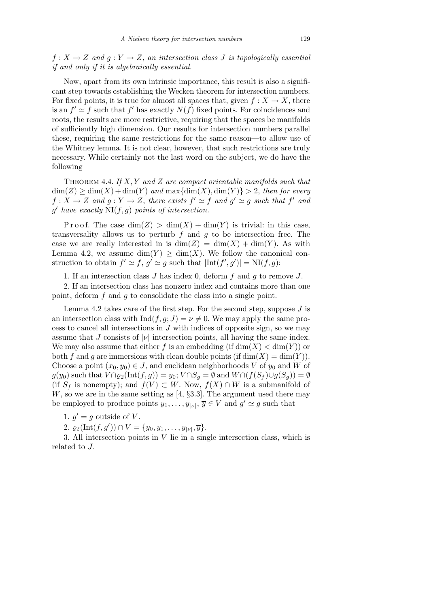$f: X \to Z$  *and*  $g: Y \to Z$ , *an intersection class J is topologically essential if and only if it is algebraically essential.*

Now, apart from its own intrinsic importance, this result is also a significant step towards establishing the Wecken theorem for intersection numbers. For fixed points, it is true for almost all spaces that, given  $f: X \to X$ , there is an  $f' \simeq f$  such that  $f'$  has exactly  $N(f)$  fixed points. For coincidences and roots, the results are more restrictive, requiring that the spaces be manifolds of sufficiently high dimension. Our results for intersection numbers parallel these, requiring the same restrictions for the same reason—to allow use of the Whitney lemma. It is not clear, however, that such restrictions are truly necessary. While certainly not the last word on the subject, we do have the following

Theorem 4.4. *If X, Y and Z are compact orientable manifolds such that*  $\dim(Z) \geq \dim(X) + \dim(Y)$  and  $\max{\dim(X), \dim(Y)} > 2$ , then for every  $f: X \to Z$  and  $g: Y \to Z$ , there exists  $f' \simeq f$  and  $g' \simeq g$  such that  $f'$  and  $g'$  have exactly  $N I(f, g)$  points of intersection.

P r o o f. The case  $\dim(Z) > \dim(X) + \dim(Y)$  is trivial: in this case, transversality allows us to perturb *f* and *g* to be intersection free. The case we are really interested in is  $dim(Z) = dim(X) + dim(Y)$ . As with Lemma 4.2, we assume  $\dim(Y) \geq \dim(X)$ . We follow the canonical construction to obtain  $f' \simeq f$ ,  $g' \simeq g$  such that  $|\text{Int}(f', g')| = \text{NI}(f, g)$ :

1. If an intersection class *J* has index 0, deform *f* and *g* to remove *J*.

2. If an intersection class has nonzero index and contains more than one point, deform *f* and *g* to consolidate the class into a single point.

Lemma 4.2 takes care of the first step. For the second step, suppose *J* is an intersection class with  $\text{Ind}(f, g; J) = \nu \neq 0$ . We may apply the same process to cancel all intersections in *J* with indices of opposite sign, so we may assume that *J* consists of  $|\nu|$  intersection points, all having the same index. We may also assume that either *f* is an embedding (if  $dim(X) < dim(Y)$ ) or both *f* and *g* are immersions with clean double points (if  $\dim(X) = \dim(Y)$ ). Choose a point  $(x_0, y_0) \in J$ , and euclidean neighborhoods *V* of  $y_0$  and *W* of  $g(y_0)$  such that  $V \cap \varrho_2(\text{Int}(f,g)) = y_0$ ;  $V \cap S_g = \emptyset$  and  $W \cap (f(S_f) \cup g(S_g)) = \emptyset$ (if  $S_f$  is nonempty); and  $f(V) \subset W$ . Now,  $f(X) \cap W$  is a submanifold of *W*, so we are in the same setting as [4, *§*3.3]. The argument used there may be employed to produce points  $y_1, \ldots, y_{|\nu|}, \overline{y} \in V$  and  $g' \simeq g$  such that

1.  $g' = g$  outside of *V*.

2.  $\varrho_2(\text{Int}(f,g')) \cap V = \{y_0, y_1, \ldots, y_{|\nu|}, \overline{y}\}.$ 

3. All intersection points in *V* lie in a single intersection class, which is related to *J*.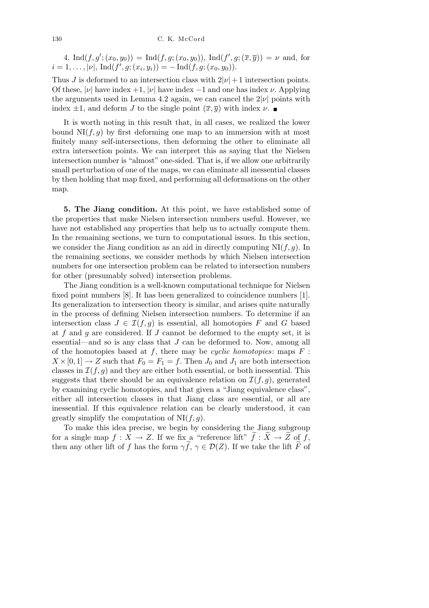4. Ind $(f, g'; (x_0, y_0)) = \text{Ind}(f, g; (x_0, y_0)), \text{Ind}(f', g; (\overline{x}, \overline{y})) = \nu$  and, for  $i = 1, \ldots, |\nu|, \text{Ind}(f', g; (x_i, y_i)) = - \text{Ind}(f, g; (x_0, y_0)).$ 

Thus *J* is deformed to an intersection class with  $2|\nu|+1$  intersection points. Of these,  $|\nu|$  have index +1,  $|\nu|$  have index -1 and one has index  $\nu$ . Applying the arguments used in Lemma 4.2 again, we can cancel the  $2|\nu|$  points with index  $\pm 1$ , and deform *J* to the single point  $(\overline{x}, \overline{y})$  with index *ν*.

It is worth noting in this result that, in all cases, we realized the lower bound  $N(f, g)$  by first deforming one map to an immersion with at most finitely many self-intersections, then deforming the other to eliminate all extra intersection points. We can interpret this as saying that the Nielsen intersection number is "almost" one-sided. That is, if we allow one arbitrarily small perturbation of one of the maps, we can eliminate all inessential classes by then holding that map fixed, and performing all deformations on the other map.

**5. The Jiang condition.** At this point, we have established some of the properties that make Nielsen intersection numbers useful. However, we have not established any properties that help us to actually compute them. In the remaining sections, we turn to computational issues. In this section, we consider the Jiang condition as an aid in directly computing  $N I(f, g)$ . In the remaining sections, we consider methods by which Nielsen intersection numbers for one intersection problem can be related to intersection numbers for other (presumably solved) intersection problems.

The Jiang condition is a well-known computational technique for Nielsen fixed point numbers [8]. It has been generalized to coincidence numbers [1]. Its generalization to intersection theory is similar, and arises quite naturally in the process of defining Nielsen intersection numbers. To determine if an intersection class  $J \in \mathcal{I}(f, g)$  is essential, all homotopies  $F$  and  $G$  based at *f* and *g* are considered. If *J* cannot be deformed to the empty set, it is essential—and so is any class that *J* can be deformed to. Now, among all of the homotopies based at *f*, there may be *cyclic homotopies*: maps *F* :  $X \times [0, 1] \rightarrow Z$  such that  $F_0 = F_1 = f$ . Then  $J_0$  and  $J_1$  are both intersection classes in  $\mathcal{I}(f,g)$  and they are either both essential, or both inessential. This suggests that there should be an equivalence relation on  $\mathcal{I}(f,g)$ , generated by examining cyclic homotopies, and that given a "Jiang equivalence class", either all intersection classes in that Jiang class are essential, or all are inessential. If this equivalence relation can be clearly understood, it can greatly simplify the computation of NI(*f, g*).

To make this idea precise, we begin by considering the Jiang subgroup for a single map  $f: X \to Z$ . If we fix a "reference lift"  $\tilde{f}: \tilde{X} \to \tilde{Z}$  of  $\tilde{f}$ , then any other lift of *f* has the form  $\gamma \tilde{f}$ ,  $\gamma \in \mathcal{D}(Z)$ . If we take the lift  $\tilde{F}$  of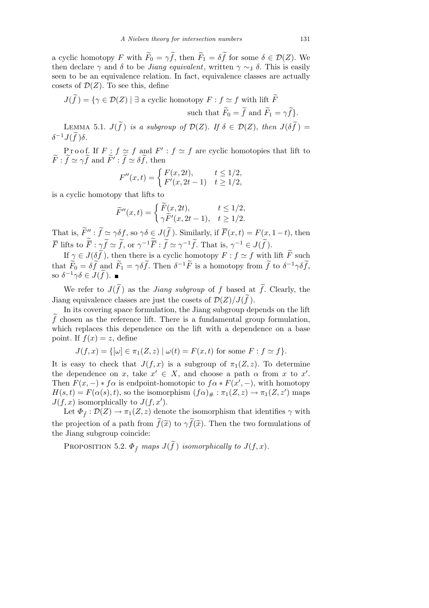a cyclic homotopy *F* with  $\widetilde{F}_0 = \gamma \widetilde{f}$ , then  $\widetilde{F}_1 = \delta \widetilde{f}$  for some  $\delta \in \mathcal{D}(Z)$ . We then declare  $\gamma$  and  $\delta$  to be *Jiang equivalent*, written  $\gamma \sim J$   $\delta$ . This is easily seen to be an equivalence relation. In fact, equivalence classes are actually cosets of  $\mathcal{D}(Z)$ . To see this, define

$$
J(\widetilde{f}) = \{ \gamma \in \mathcal{D}(Z) \mid \exists \text{ a cyclic homotopy } F : f \simeq f \text{ with lift } \widetilde{F}
$$
  
such that  $\widetilde{F}_0 = \widetilde{f} \text{ and } \widetilde{F}_1 = \gamma \widetilde{f} \}.$ 

LEMMA 5.1.  $J(\widetilde{f})$  *is a subgroup of*  $\mathcal{D}(Z)$ *. If*  $\delta \in \mathcal{D}(Z)$ *, then*  $J(\delta \widetilde{f}) =$  $\delta^{-1} J(\widetilde{f}) \delta$ .

Proof. If  $F: f \simeq f$  and  $F': f \simeq f$  are cyclic homotopies that lift to  $\widetilde{F}$ :  $\widetilde{f} \simeq \gamma \widetilde{f}$  and  $\widetilde{F}'$ :  $\widetilde{f} \simeq \delta \widetilde{f}$ , then

$$
F''(x,t) = \begin{cases} F(x, 2t), & t \le 1/2, \\ F'(x, 2t - 1) & t \ge 1/2, \end{cases}
$$

is a cyclic homotopy that lifts to

$$
\widetilde{F}''(x,t) = \begin{cases}\n\widetilde{F}(x, 2t), & t \le 1/2, \\
\gamma \widetilde{F}'(x, 2t - 1), & t \ge 1/2.\n\end{cases}
$$

That is,  $\widetilde{F}'' : \widetilde{f} \simeq \gamma \delta f$ , so  $\gamma \delta \in J(\widetilde{f})$ . Similarly, if  $\overline{F}(x,t) = F(x, 1-t)$ , then  $\overline{F}$  lifts to  $\widetilde{\overline{F}}$  :  $\gamma \widetilde{f} \simeq \widetilde{f}$ , or  $\gamma^{-1} \widetilde{\overline{F}}$  :  $\widetilde{f} \simeq \gamma^{-1} \widetilde{f}$ . That is,  $\gamma^{-1} \in J(\widetilde{f})$ .

If  $\gamma \in J(\delta \tilde{f})$ , then there is a cyclic homotopy  $F : f \simeq f$  with lift  $\tilde{F}$  such that  $\widetilde{F}_0 = \delta \widetilde{f}$  and  $\widetilde{F}_1 = \gamma \delta \widetilde{f}$ . Then  $\delta^{-1} \widetilde{F}$  is a homotopy from  $\widetilde{f}$  to  $\delta^{-1} \gamma \delta \widetilde{f}$ , so  $\delta^{-1}\gamma\delta \in J(\tilde{f})$ .

We refer to  $J(\tilde{f})$  as the *Jiang subgroup* of f based at  $\tilde{f}$ . Clearly, the Jiang equivalence classes are just the cosets of  $\mathcal{D}(Z)/J(\widetilde{f})$ .

In its covering space formulation, the Jiang subgroup depends on the lift  $\tilde{f}$  chosen as the reference lift. There is a fundamental group formulation, which replaces this dependence on the lift with a dependence on a base point. If  $f(x) = z$ , define

$$
J(f, x) = \{ [\omega] \in \pi_1(Z, z) \mid \omega(t) = F(x, t) \text{ for some } F : f \simeq f \}.
$$

It is easy to check that  $J(f, x)$  is a subgroup of  $\pi_1(Z, z)$ . To determine the dependence on *x*, take  $x' \in X$ , and choose a path  $\alpha$  from *x* to *x'*. Then  $F(x, -) * f\alpha$  is endpoint-homotopic to  $f\alpha * F(x', -)$ , with homotopy  $H(s,t) = F(\alpha(s),t)$ , so the isomorphism  $(f\alpha)_{\#} : \pi_1(Z,z) \to \pi_1(Z,z')$  maps  $J(f, x)$  isomorphically to  $J(f, x')$ .

Let  $\Phi_{\tilde{f}}: \mathcal{D}(Z) \to \pi_1(Z, z)$  denote the isomorphism that identifies  $\gamma$  with the projection of a path from  $\tilde{f}(\tilde{x})$  to  $\gamma \tilde{f}(\tilde{x})$ . Then the two formulations of the Jiang subgroup coincide:

PROPOSITION 5.2.  $\Phi_{\tilde{f}}$  maps  $J(\tilde{f})$  isomorphically to  $J(f, x)$ .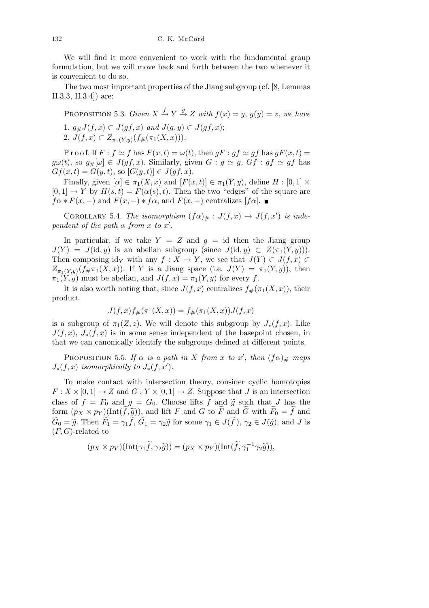We will find it more convenient to work with the fundamental group formulation, but we will move back and forth between the two whenever it is convenient to do so.

The two most important properties of the Jiang subgroup (cf. [8, Lemmas II.3.3, II.3.4]) are:

PROPOSITION 5.3. *Given*  $X \stackrel{f}{\rightarrow} Y \stackrel{g}{\rightarrow} Z$  *with*  $f(x) = y$ ,  $g(y) = z$ , *we have* 1.  $g# J(f, x) ⊂ J(gf, x)$  *and*  $J(g, y) ⊂ J(gf, x);$ 2.  $J(f, x) \subset Z_{\pi_1(Y, y)}(f \# (\pi_1(X, x))).$ 

Proof. If  $F : f \simeq f$  has  $F(x,t) = \omega(t)$ , then  $gF : gf \simeq gf$  has  $gF(x,t) =$  $g\omega(t)$ , so  $g_{\#}[\omega] \in J(gf, x)$ . Similarly, given  $G : g \simeq g$ ,  $Gf : gf \simeq gf$  has  $Gf(x,t) = G(y,t)$ , so  $[G(y,t)] \in J(gf, x)$ .

Finally, given  $[\alpha] \in \pi_1(X, x)$  and  $[F(x, t)] \in \pi_1(Y, y)$ , define  $H : [0, 1] \times$  $[0,1] \rightarrow Y$  by  $H(s,t) = F(\alpha(s),t)$ . Then the two "edges" of the square are  $f\alpha * F(x, -)$  and  $F(x, -) * f\alpha$ , and  $F(x, -)$  centralizes  $[f\alpha]$ .

COROLLARY 5.4. *The isomorphism*  $(f\alpha)_{\#}: J(f,x) \to J(f,x')$  *is independent of the path*  $\alpha$  *from*  $x$  *to*  $x'$ *.* 

In particular, if we take  $Y = Z$  and  $q = id$  then the Jiang group  $J(Y) = J(\text{id}, y)$  is an abelian subgroup (since  $J(\text{id}, y) \subset Z(\pi_1(Y, y))$ ). Then composing id<sub>*Y*</sub> with any  $f: X \to Y$ , we see that  $J(Y) \subset J(f, x) \subset Y$  $Z_{\pi_1(Y,y)}(f \# \pi_1(X,x))$ . If *Y* is a Jiang space (i.e.  $J(Y) = \pi_1(Y,y)$ ), then  $\pi_1(Y, y)$  must be abelian, and  $J(f, x) = \pi_1(Y, y)$  for every *f*.

It is also worth noting that, since  $J(f, x)$  centralizes  $f_{\#}(\pi_1(X, x))$ , their product

$$
J(f, x)f_{\#}(\pi_1(X, x)) = f_{\#}(\pi_1(X, x))J(f, x)
$$

is a subgroup of  $\pi_1(Z, z)$ . We will denote this subgroup by  $J_*(f, x)$ . Like  $J(f, x)$ ,  $J_*(f, x)$  is in some sense independent of the basepoint chosen, in that we can canonically identify the subgroups defined at different points.

PROPOSITION 5.5. *If*  $\alpha$  *is a path in X from x to x*<sup>'</sup>, *then*  $(f\alpha)_\#$  *maps*  $J_*(f, x)$  *isomorphically to*  $J_*(f, x')$ *.* 

To make contact with intersection theory, consider cyclic homotopies  $F: X \times [0,1] \to Z$  and  $G: Y \times [0,1] \to Z$ . Suppose that *J* is an intersection class of  $f = F_0$  and  $g = G_0$ . Choose lifts  $\tilde{f}$  and  $\tilde{g}$  such that *J* has the form  $(p_X \times p_Y)(\text{Int}(\widetilde{f}, \widetilde{g}))$ , and lift *F* and *G* to  $\widetilde{F}$  and  $\widetilde{G}$  with  $\widetilde{F}_0 = \widetilde{f}$  and  $\widetilde{G}_0 = \widetilde{g}$ . Then  $\widetilde{F}_1 = \gamma_1 \widetilde{f}$ ,  $\widetilde{G}_1 = \gamma_2 \widetilde{g}$  for some  $\gamma_1 \in J(\widetilde{f})$ ,  $\gamma_2 \in J(\widetilde{g})$ , and *J* is (*F, G*)-related to

$$
(p_X \times p_Y)(\text{Int}(\gamma_1 \tilde{f}, \gamma_2 \tilde{g})) = (p_X \times p_Y)(\text{Int}(\tilde{f}, \gamma_1^{-1} \gamma_2 \tilde{g})),
$$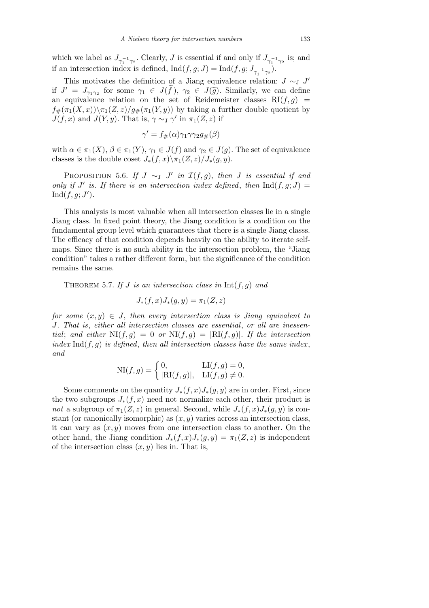which we label as  $J_{\gamma_1^{-1}\gamma_2}$ . Clearly, *J* is essential if and only if  $J_{\gamma_1^{-1}\gamma_2}$  is; and if an intersection index is defined,  $\text{Ind}(f, g; J) = \text{Ind}(f, g; J_{\gamma_1^{-1}\gamma_2})$ .

This motivates the definition of a Jiang equivalence relation:  $J \sim J$ if  $J' = J_{\gamma_1 \gamma_2}$  for some  $\gamma_1 \in J(\tilde{f}), \gamma_2 \in J(\tilde{g})$ . Similarly, we can define an equivalence relation on the set of Reidemeister classes  $RI(f,g)$  =  $f_{\#}(\pi_1(X,x))\setminus \pi_1(Z,z)/g_{\#}(\pi_1(Y,y))$  by taking a further double quotient by *J*(*f, x*) and *J*(*Y, y*). That is,  $\gamma \sim_J \gamma'$  in  $\pi_1(Z, z)$  if

$$
\gamma' = f_{\#}(\alpha)\gamma_1\gamma\gamma_2g_{\#}(\beta)
$$

with  $\alpha \in \pi_1(X)$ ,  $\beta \in \pi_1(Y)$ ,  $\gamma_1 \in J(f)$  and  $\gamma_2 \in J(g)$ . The set of equivalence classes is the double coset  $J_*(f, x) \setminus \pi_1(Z, z) / J_*(g, y)$ .

PROPOSITION 5.6. *If*  $J \sim_J J'$  *in*  $\mathcal{I}(f,g)$ , *then J is essential if and only if*  $J'$  *is. If there is an intersection index defined, then*  $\text{Ind}(f, g; J) =$  $\text{Ind}(f, g; J').$ 

This analysis is most valuable when all intersection classes lie in a single Jiang class. In fixed point theory, the Jiang condition is a condition on the fundamental group level which guarantees that there is a single Jiang classs. The efficacy of that condition depends heavily on the ability to iterate selfmaps. Since there is no such ability in the intersection problem, the "Jiang condition" takes a rather different form, but the significance of the condition remains the same.

THEOREM 5.7. If *J* is an intersection class in  $Int(f, g)$  and

$$
J_*(f,x)J_*(g,y) = \pi_1(Z,z)
$$

*for some*  $(x, y) \in J$ , *then every intersection class is Jiang equivalent to J. That is*, *either all intersection classes are essential*, *or all are inessential*; and either  $N I(f,g) = 0$  or  $N I(f,g) = |R I(f,g)|$ . If the intersection *index* Ind( $f, g$ ) *is defined, then all intersection classes have the same index, and*

$$
\mathrm{NI}(f,g) = \begin{cases} 0, & \mathrm{LI}(f,g) = 0, \\ |\mathrm{RI}(f,g)|, & \mathrm{LI}(f,g) \neq 0. \end{cases}
$$

Some comments on the quantity  $J_*(f, x)J_*(g, y)$  are in order. First, since the two subgroups  $J_*(f, x)$  need not normalize each other, their product is *not* a subgroup of  $\pi_1(Z, z)$  in general. Second, while  $J_*(f, x)J_*(g, y)$  is constant (or canonically isomorphic) as (*x, y*) varies across an intersection class, it can vary as (*x, y*) moves from one intersection class to another. On the other hand, the Jiang condition  $J_*(f, x)J_*(g, y) = \pi_1(Z, z)$  is independent of the intersection class  $(x, y)$  lies in. That is,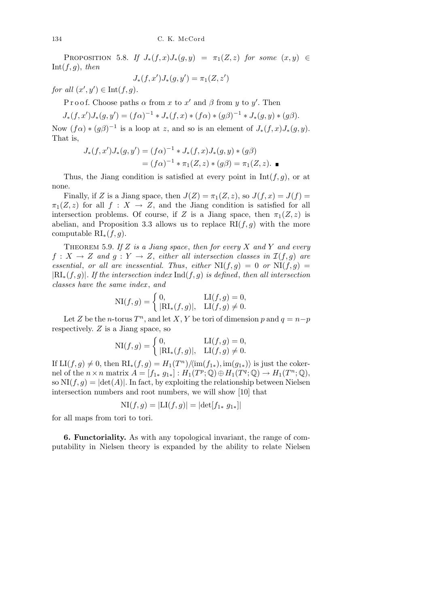PROPOSITION 5.8. *If*  $J_*(f, x)J_*(g, y) = \pi_1(Z, z)$  *for some*  $(x, y) \in$  $Int(f,g), then$ 

$$
J_*(f, x')J_*(g, y') = \pi_1(Z, z')
$$

*for all*  $(x', y') \in \text{Int}(f, g)$ *.* 

Proof. Choose paths  $\alpha$  from  $x$  to  $x'$  and  $\beta$  from  $y$  to  $y'$ . Then

 $J_*(f, x')J_*(g, y') = (f\alpha)^{-1} \cdot J_*(f, x) \cdot (f\alpha) \cdot (g\beta)^{-1} \cdot J_*(g, y) \cdot (g\beta).$ 

Now  $(f\alpha) * (g\beta)^{-1}$  is a loop at *z*, and so is an element of  $J_*(f, x)J_*(g, y)$ . That is,

$$
J_*(f, x')J_*(g, y') = (f\alpha)^{-1} * J_*(f, x)J_*(g, y) * (g\beta)
$$
  
=  $(f\alpha)^{-1} * \pi_1(Z, z) * (g\beta) = \pi_1(Z, z).$ 

Thus, the Jiang condition is satisfied at every point in  $Int(f, g)$ , or at none.

Finally, if *Z* is a Jiang space, then  $J(Z) = \pi_1(Z, z)$ , so  $J(f, x) = J(f)$  $\pi_1(Z, z)$  for all  $f: X \to Z$ , and the Jiang condition is satisfied for all intersection problems. Of course, if *Z* is a Jiang space, then  $\pi_1(Z, z)$  is abelian, and Proposition 3.3 allows us to replace  $RI(f,g)$  with the more computable RI*∗*(*f, g*).

THEOREM 5.9. If  $Z$  is a Jiang space, then for every  $X$  and  $Y$  and every  $f: X \to Z$  *and*  $g: Y \to Z$ , *either all intersection classes in*  $\mathcal{I}(f,g)$  *are essential, or all are inessential. Thus, either*  $NI(f,g) = 0$  *or*  $NI(f,g) =$ *|*RI*∗*(*f, g*)*|. If the intersection index* Ind(*f, g*) *is defined*, *then all intersection classes have the same index* , *and*

$$
\text{NI}(f,g) = \begin{cases} 0, & \text{LI}(f,g) = 0, \\ |\text{RI}_*(f,g)|, & \text{LI}(f,g) \neq 0. \end{cases}
$$

Let *Z* be the *n*-torus  $T^n$ , and let *X*, *Y* be tori of dimension *p* and  $q = n-p$ respectively. *Z* is a Jiang space, so

$$
\text{NI}(f,g) = \begin{cases} 0, & \text{LI}(f,g) = 0, \\ |\text{RI}_*(f,g)|, & \text{LI}(f,g) \neq 0. \end{cases}
$$

If  $LI(f, g) \neq 0$ , then  $RI_*(f, g) = H_1(T^n) / \langle im(f_{1*}), im(g_{1*})\rangle$  is just the cokernel of the  $n \times n$  matrix  $A = [f_{1*} \ g_{1*}] : H_1(T^p; \mathbb{Q}) \oplus H_1(T^q; \mathbb{Q}) \to H_1(T^n; \mathbb{Q}),$ so  $NI(f, g) = |det(A)|$ . In fact, by exploiting the relationship between Nielsen intersection numbers and root numbers, we will show [10] that

$$
NI(f,g) = |LI(f,g)| = |\det[f_{1*} g_{1*}]|
$$

for all maps from tori to tori.

**6. Functoriality.** As with any topological invariant, the range of computability in Nielsen theory is expanded by the ability to relate Nielsen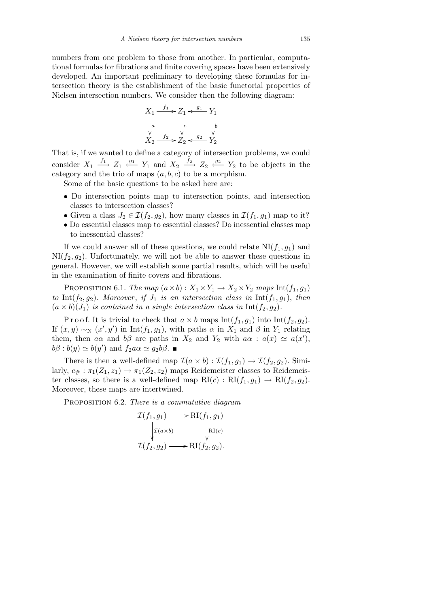numbers from one problem to those from another. In particular, computational formulas for fibrations and finite covering spaces have been extensively developed. An important preliminary to developing these formulas for intersection theory is the establishment of the basic functorial properties of Nielsen intersection numbers. We consider then the following diagram:



That is, if we wanted to define a category of intersection problems, we could consider  $X_1 \stackrel{f_1}{\longrightarrow} Z_1 \stackrel{g_1}{\longleftarrow} Y_1$  and  $X_2 \stackrel{f_2}{\longrightarrow} Z_2 \stackrel{g_2}{\longleftarrow} Y_2$  to be objects in the category and the trio of maps  $(a, b, c)$  to be a morphism.

Some of the basic questions to be asked here are:

- Do intersection points map to intersection points, and intersection classes to intersection classes?
- Given a class  $J_2 \in \mathcal{I}(f_2, g_2)$ , how many classes in  $\mathcal{I}(f_1, g_1)$  map to it?
- *•* Do essential classes map to essential classes? Do inessential classes map to inessential classes?

If we could answer all of these questions, we could relate  $NI(f_1, g_1)$  and  $NI(f_2, g_2)$ . Unfortunately, we will not be able to answer these questions in general. However, we will establish some partial results, which will be useful in the examination of finite covers and fibrations.

PROPOSITION 6.1. *The map*  $(a \times b)$  :  $X_1 \times Y_1 \rightarrow X_2 \times Y_2$  *maps*  $Int(f_1, g_1)$ *to* Int $(f_2, g_2)$ *. Moreover, if*  $J_1$  *is an intersection class in* Int $(f_1, g_1)$ *, then*  $(a \times b)(J_1)$  *is contained in a single intersection class in*  $Int(f_2, g_2)$ *.* 

P r o o f. It is trivial to check that  $a \times b$  maps Int( $f_1, g_1$ ) into Int( $f_2, g_2$ ). If  $(x, y) \sim_N (x', y')$  in Int $(f_1, g_1)$ , with paths  $\alpha$  in  $X_1$  and  $\beta$  in  $Y_1$  relating them, then *aα* and  $b\beta$  are paths in  $X_2$  and  $Y_2$  with  $a\alpha : a(x) \simeq a(x')$ ,  $b\beta : b(y) \simeq b(y')$  and  $f_2 a\alpha \simeq g_2 b\beta$ .

There is then a well-defined map  $\mathcal{I}(a \times b) : \mathcal{I}(f_1, g_1) \to \mathcal{I}(f_2, g_2)$ . Similarly,  $c_{\#} : \pi_1(Z_1, z_1) \to \pi_1(Z_2, z_2)$  maps Reidemeister classes to Reidemeister classes, so there is a well-defined map  $\text{RI}(c) : \text{RI}(f_1, g_1) \rightarrow \text{RI}(f_2, g_2)$ . Moreover, these maps are intertwined.

Proposition 6.2. *There is a commutative diagram*

$$
\mathcal{I}(f_1, g_1) \longrightarrow \mathrm{RI}(f_1, g_1)
$$
\n
$$
\downarrow \mathcal{I}(a \times b) \qquad \qquad \downarrow \mathrm{RI}(c)
$$
\n
$$
\mathcal{I}(f_2, g_2) \longrightarrow \mathrm{RI}(f_2, g_2).
$$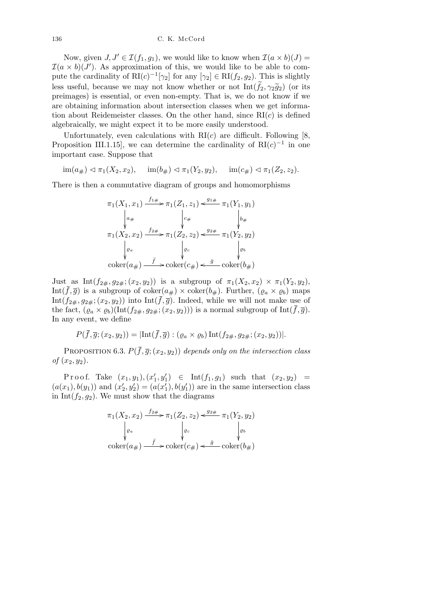Now, given  $J, J' \in \mathcal{I}(f_1, g_1)$ , we would like to know when  $\mathcal{I}(a \times b)(J) =$  $I(a \times b)(J')$ . As approximation of this, we would like to be able to compute the cardinality of  $\text{RI}(c)^{-1}[\gamma_2]$  for any  $[\gamma_2] \in \text{RI}(f_2, g_2)$ . This is slightly less useful, because we may not know whether or not  $Int(\widetilde{f}_2, \gamma_2 \widetilde{g}_2)$  (or its preimages) is essential, or even non-empty. That is, we do not know if we are obtaining information about intersection classes when we get information about Reidemeister classes. On the other hand, since  $RI(c)$  is defined algebraically, we might expect it to be more easily understood.

Unfortunately, even calculations with  $RI(c)$  are difficult. Following [8, Proposition III.1.15, we can determine the cardinality of  $RI(c)^{-1}$  in one important case. Suppose that

 $\lim(a_{\#}) \lhd \pi_1(X_2, x_2), \quad \lim(b_{\#}) \lhd \pi_1(Y_2, y_2), \quad \lim(c_{\#}) \lhd \pi_1(Z_2, z_2).$ 

There is then a commutative diagram of groups and homomorphisms

$$
\pi_1(X_1, x_1) \xrightarrow{f_1 \#} \pi_1(Z_1, z_1) \xleftarrow{g_1 \#} \pi_1(Y_1, y_1)
$$
\n
$$
\downarrow_{a \#} \qquad \qquad \downarrow_{c \#} \qquad \qquad \downarrow_{b \#}
$$
\n
$$
\pi_1(X_2, x_2) \xrightarrow{f_2 \#} \pi_1(Z_2, z_2) \xleftarrow{g_2 \#} \pi_1(Y_2, y_2)
$$
\n
$$
\downarrow_{e} \qquad \qquad \downarrow_{e} \qquad \qquad \downarrow_{e} \qquad \qquad \downarrow_{e}
$$
\n
$$
\text{coker}(a_{\#}) \xrightarrow{\bar{f}} \text{coker}(c_{\#}) \xleftarrow{\bar{g}} \text{coker}(b_{\#})
$$

Just as Int $(f_{2\#}, g_{2\#}; (x_2, y_2))$  is a subgroup of  $\pi_1(X_2, x_2) \times \pi_1(Y_2, y_2)$ , Int $(\bar{f}, \bar{g})$  is a subgroup of coker $(a_{\#}) \times \text{coker}(b_{\#})$ . Further,  $(\varrho_a \times \varrho_b)$  maps Int( $f_{2\#}, g_{2\#}$ ;  $(x_2, y_2)$ ) into Int( $\overline{f}, \overline{g}$ ). Indeed, while we will not make use of the fact,  $(\varrho_a \times \varrho_b)(\text{Int}(f_{2\#}, g_{2\#}; (x_2, y_2)))$  is a normal subgroup of  $\text{Int}(\bar{f}, \bar{g})$ . In any event, we define

$$
P(\overline{f},\overline{g};(x_2,y_2))=|\text{Int}(\overline{f},\overline{g}):(\varrho_a\times\varrho_b)\,\text{Int}(f_{2\#},g_{2\#};(x_2,y_2))|.
$$

PROPOSITION 6.3.  $P(\bar{f}, \bar{g}; (x_2, y_2))$  depends only on the intersection class *of*  $(x_2, y_2)$ *.* 

 $Proof.$  Take  $(x_1, y_1), (x'_1, y'_1) \in Int(f_1, g_1)$  such that  $(x_2, y_2) =$  $(a(x_1), b(y_1))$  and  $(x'_2, y'_2) = (a(x'_1), b(y'_1))$  are in the same intersection class in Int $(f_2, g_2)$ . We must show that the diagrams

$$
\pi_1(X_2, x_2) \xrightarrow{f_{2\#}} \pi_1(Z_2, z_2) \xleftarrow{g_{2\#}} \pi_1(Y_2, y_2)
$$
\n
$$
\downarrow_{\varrho_a} \qquad \qquad \downarrow_{\varrho_c} \qquad \qquad \downarrow_{\varrho_b}
$$
\n
$$
\operatorname{coker}(a_{\#}) \xrightarrow{\bar{f}} \operatorname{coker}(c_{\#}) \xleftarrow{\bar{g}} \operatorname{coker}(b_{\#})
$$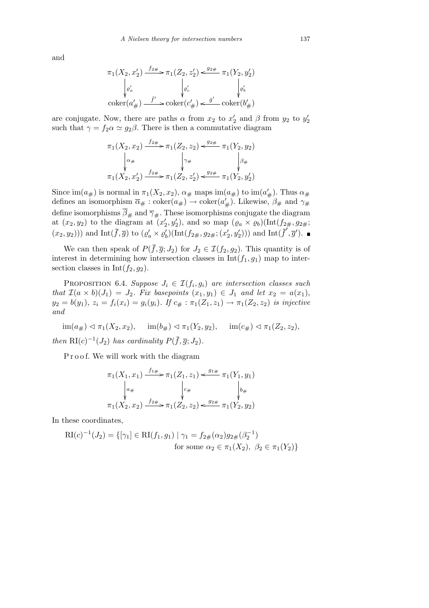and

$$
\pi_1(X_2, x_2') \xrightarrow{f_2 \#} \pi_1(Z_2, z_2') \xleftarrow{g_2 \#} \pi_1(Y_2, y_2')
$$

$$
\downarrow e_a'
$$

$$
\downarrow e_c'
$$

$$
\downarrow e_b'
$$

$$
\downarrow e_b'
$$

$$
\downarrow e_b'
$$

$$
\downarrow e_b'
$$

$$
\downarrow e_b'
$$

$$
\downarrow e_b'
$$

$$
\downarrow e_b'
$$

$$
\downarrow e_b'
$$

$$
\downarrow e_b'
$$

are conjugate. Now, there are paths  $\alpha$  from  $x_2$  to  $x'_2$  and  $\beta$  from  $y_2$  to  $y'_2$ such that  $\gamma = f_2 \alpha \simeq g_2 \beta$ . There is then a commutative diagram

$$
\pi_1(X_2, x_2) \xrightarrow{f_{2\#}} \pi_1(Z_2, z_2) \xleftarrow{g_{2\#}} \pi_1(Y_2, y_2)
$$
\n
$$
\downarrow_{\alpha_{\#}} \qquad \qquad \downarrow_{\gamma_{\#}} \qquad \qquad \downarrow_{\beta_{\#}}
$$
\n
$$
\pi_1(X_2, x_2') \xrightarrow{f_{2\#}} \pi_1(Z_2, z_2') \xleftarrow{g_{2\#}} \pi_1(Y_2, y_2')
$$

Since  $\text{im}(a_{\#})$  is normal in  $\pi_1(X_2, x_2)$ ,  $\alpha_{\#}$  maps  $\text{im}(a_{\#})$  to  $\text{im}(a'_{\#})$ . Thus  $\alpha_{\#}$ defines an isomorphism  $\overline{\alpha}_{\#}: \text{coker}(a_{\#}) \to \text{coker}(a_{\#}^{\prime}).$  Likewise,  $\beta_{\#}$  and  $\gamma_{\#}$ define isomorphisms  $\beta_{\#}$  and  $\overline{\gamma}_{\#}$ . These isomorphisms conjugate the diagram at  $(x_2, y_2)$  to the diagram at  $(x'_2, y'_2)$ , and so map  $(\varrho_a \times \varrho_b)(\text{Int}(f_{2\#}, g_{2\#};$  $(x_2, y_2))$  and  $\text{Int}(\bar{f}, \bar{g})$  to  $(\varrho_a' \times \varrho_b')(\text{Int}(f_{2\#}, g_{2\#}; (x_2', y_2')))$  and  $\text{Int}(\bar{f}', \bar{g}')$ .

We can then speak of  $P(\bar{f}, \bar{g}; J_2)$  for  $J_2 \in \mathcal{I}(f_2, g_2)$ . This quantity is of interest in determining how intersection classes in  $Int(f_1, g_1)$  map to intersection classes in  $Int(f_2, g_2)$ .

PROPOSITION 6.4. *Suppose*  $J_i \in \mathcal{I}(f_i, g_i)$  are intersection classes such *that*  $\mathcal{I}(a \times b)(J_1) = J_2$ *. Fix basepoints*  $(x_1, y_1) \in J_1$  *and let*  $x_2 = a(x_1)$ ,  $y_2 = b(y_1), z_i = f_i(x_i) = g_i(y_i)$ . If  $c_{\#} : \pi_1(Z_1, z_1) \to \pi_1(Z_2, z_2)$  is injective *and*

 $\text{im}(a_{\#}) \triangleleft \pi_1(X_2, x_2), \quad \text{im}(b_{\#}) \triangleleft \pi_1(Y_2, y_2), \quad \text{im}(c_{\#}) \triangleleft \pi_1(Z_2, z_2),$ *then*  $\text{RI}(c)^{-1}(J_2)$  *has cardinality*  $P(\bar{f}, \bar{g}; J_2)$ *.* 

Proof. We will work with the diagram

$$
\pi_1(X_1, x_1) \xrightarrow{f_1 \#} \pi_1(Z_1, z_1) \xleftarrow{g_1 \#} \pi_1(Y_1, y_1)
$$
\n
$$
\downarrow_{a \#} \qquad \qquad \downarrow_{c \#} \qquad \qquad \downarrow_{b \#}
$$
\n
$$
\pi_1(X_2, x_2) \xrightarrow{f_2 \#} \pi_1(Z_2, z_2) \xleftarrow{g_2 \#} \pi_1(Y_2, y_2)
$$

In these coordinates,

$$
RI(c)^{-1}(J_2) = \{ [\gamma_1] \in RI(f_1, g_1) \mid \gamma_1 = f_{2\#}(\alpha_2)g_{2\#}(\beta_2^{-1})
$$
  
for some  $\alpha_2 \in \pi_1(X_2), \ \beta_2 \in \pi_1(Y_2) \}$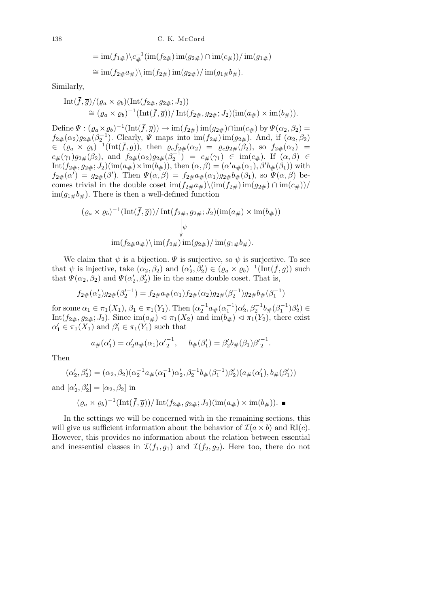= im
$$
(f_{1\#})
$$
 $\langle c_{\#}^{-1}(\text{im}(f_{2\#}) \text{im}(g_{2\#}) \cap \text{im}(c_{\#})) / \text{im}(g_{1\#})$   
\n $\cong$  im $(f_{2\#}a_{\#})$  $\langle$  im $(f_{2\#})$  im $(g_{2\#}) /$  im $(g_{1\#}b_{\#})$ .

Similarly,

Int
$$
(\bar{f}, \bar{g})/( \varrho_a \times \varrho_b) (\text{Int}(f_{2\#}, g_{2\#}; J_2))
$$
  
\n $\cong (\varrho_a \times \varrho_b)^{-1} (\text{Int}(\bar{f}, \bar{g})) / \text{Int}(f_{2\#}, g_{2\#}; J_2) (\text{im}(a_{\#}) \times \text{im}(b_{\#})).$ 

Define  $\Psi : (\varrho_a \times \varrho_b)^{-1}(\text{Int}(\bar{f}, \bar{g})) \to \text{im}(f_{2\#})\text{im}(g_{2\#}) \cap \text{im}(c_{\#}) \text{ by } \Psi(\alpha_2, \beta_2) =$  $f_{2\#}(\alpha_2)g_{2\#}(\beta_2^{-1})$ . Clearly, *Ψ* maps into  $\text{im}(f_{2\#})\text{im}(g_{2\#})$ . And, if  $(\alpha_2, \beta_2)$  $\in$   $(\varrho_a \times \varrho_b)^{-1}(\text{Int}(\bar{f}, \bar{g}))$ , then  $\varrho_c f_{2\#}(\alpha_2) = \varrho_c g_{2\#}(\beta_2)$ , so  $f_{2\#}(\alpha_2) =$  $c_{\#}(\gamma_1)g_{2\#}(\beta_2)$ , and  $f_{2\#}(\alpha_2)g_{2\#}(\beta_2^{-1}) = c_{\#}(\gamma_1) \in \text{im}(c_{\#})$ . If  $(\alpha, \beta) \in$  $\text{Int}(f_{2\#}, g_{2\#}; J_2)(\text{im}(a_{\#}) \times \text{im}(b_{\#})), \text{ then } (\alpha, \beta) = (\alpha' a_{\#}(\alpha_1), \beta' b_{\#}(\beta_1)) \text{ with }$  $f_{2\#}(\alpha') = g_{2\#}(\beta')$ . Then  $\Psi(\alpha, \beta) = f_{2\#}a_{\#}(\alpha_1)g_{2\#}b_{\#}(\beta_1)$ , so  $\Psi(\alpha, \beta)$  becomes trivial in the double coset  $\lim(f_{2\#}a_{\#})\cdot(\lim(f_{2\#})\cdot\lim(g_{2\#})\cap\lim(c_{\#}))/$  $\lim(g_{1\#}b_{\#})$ . There is then a well-defined function

$$
(\varrho_a \times \varrho_b)^{-1}(\text{Int}(\bar{f}, \bar{g})) / \text{Int}(f_{2\#}, g_{2\#}; J_2)(\text{im}(a_{\#}) \times \text{im}(b_{\#}))
$$

$$
\downarrow \psi
$$

$$
\text{im}(f_{2\#}a_{\#}) \setminus \text{im}(f_{2\#}) \text{im}(g_{2\#}) / \text{im}(g_{1\#}b_{\#}).
$$

We claim that  $\psi$  is a bijection.  $\Psi$  is surjective, so  $\psi$  is surjective. To see that  $\psi$  is injective, take  $(\alpha_2, \beta_2)$  and  $(\alpha'_2, \beta'_2) \in (\varrho_a \times \varrho_b)^{-1}(\text{Int}(\bar{f}, \bar{g}))$  such that  $\Psi(\alpha_2, \beta_2)$  and  $\Psi(\alpha'_2, \beta'_2)$  lie in the same double coset. That is,

$$
f_{2\#}(\alpha'_2)g_{2\#}(\beta'^{-1}_2)=f_{2\#}a_\#(\alpha_1)f_{2\#}(\alpha_2)g_{2\#}(\beta_2^{-1})g_{2\#}b_\#(\beta_1^{-1})
$$

for some  $\alpha_1 \in \pi_1(X_1)$ ,  $\beta_1 \in \pi_1(Y_1)$ . Then  $(\alpha_2^{-1}a_{\#}(\alpha_1^{-1})\alpha_2', \beta_2^{-1}b_{\#}(\beta_1^{-1})\beta_2') \in$ Int $(f_{2\#}, g_{2\#}; J_2)$ . Since  $\text{im}(a_{\#}) \triangleleft \pi_1(X_2)$  and  $\text{im}(b_{\#}) \triangleleft \pi_1(Y_2)$ , there exist  $\alpha'_1 \in \pi_1(X_1)$  and  $\beta'_1 \in \pi_1(Y_1)$  such that

$$
a_{\#}(\alpha'_1) = \alpha'_2 a_{\#}(\alpha_1) {\alpha'}_2^{-1}, \quad b_{\#}(\beta'_1) = \beta'_2 b_{\#}(\beta_1) {\beta'}_2^{-1}.
$$

Then

$$
(\alpha'_2, \beta'_2) = (\alpha_2, \beta_2)(\alpha_2^{-1}a_{\#}(\alpha_1^{-1})\alpha'_2, \beta_2^{-1}b_{\#}(\beta_1^{-1})\beta'_2)(a_{\#}(\alpha'_1), b_{\#}(\beta'_1))
$$

and  $[\alpha'_2, \beta'_2] = [\alpha_2, \beta_2]$  in

$$
(\varrho_a \times \varrho_b)^{-1}(\text{Int}(\bar{f}, \bar{g})) / \text{Int}(f_{2\#}, g_{2\#}; J_2)(\text{im}(a_{\#}) \times \text{im}(b_{\#})).
$$

In the settings we will be concerned with in the remaining sections, this will give us sufficient information about the behavior of  $\mathcal{I}(a \times b)$  and  $\text{RI}(c)$ . However, this provides no information about the relation between essential and inessential classes in  $\mathcal{I}(f_1, g_1)$  and  $\mathcal{I}(f_2, g_2)$ . Here too, there do not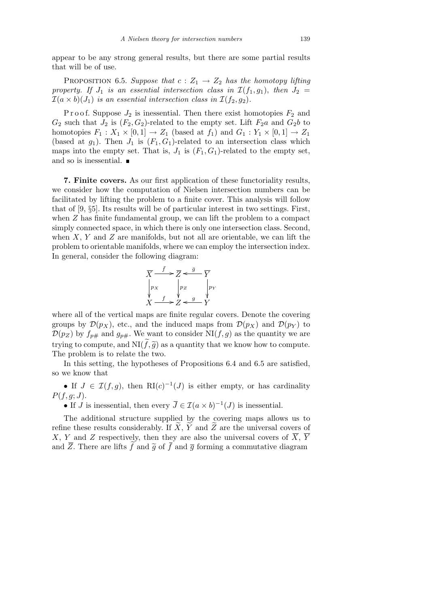appear to be any strong general results, but there are some partial results that will be of use.

**PROPOSITION** 6.5. *Suppose that*  $c: Z_1 \rightarrow Z_2$  *has the homotopy lifting property.* If  $J_1$  *is an essential intersection class in*  $\mathcal{I}(f_1, g_1)$ , *then*  $J_2$  =  $\mathcal{I}(a \times b)(J_1)$  *is an essential intersection class in*  $\mathcal{I}(f_2, g_2)$ *.* 

P r o o f. Suppose  $J_2$  is inessential. Then there exist homotopies  $F_2$  and  $G_2$  such that  $J_2$  is  $(F_2, G_2)$ -related to the empty set. Lift  $F_2a$  and  $G_2b$  to homotopies  $F_1: X_1 \times [0,1] \rightarrow Z_1$  (based at  $f_1$ ) and  $G_1: Y_1 \times [0,1] \rightarrow Z_1$ (based at  $g_1$ ). Then  $J_1$  is  $(F_1, G_1)$ -related to an intersection class which maps into the empty set. That is,  $J_1$  is  $(F_1, G_1)$ -related to the empty set, and so is inessential.  $\blacksquare$ 

**7. Finite covers.** As our first application of these functoriality results, we consider how the computation of Nielsen intersection numbers can be facilitated by lifting the problem to a finite cover. This analysis will follow that of [9, *§*5]. Its results will be of particular interest in two settings. First, when *Z* has finite fundamental group, we can lift the problem to a compact simply connected space, in which there is only one intersection class. Second, when *X*, *Y* and *Z* are manifolds, but not all are orientable, we can lift the problem to orientable manifolds, where we can employ the intersection index. In general, consider the following diagram:

$$
\overline{X} \xrightarrow{\overline{f}} \overline{Z} \xleftarrow{\overline{g}} \overline{Y}
$$
\n
$$
\downarrow p_X
$$
\n
$$
\downarrow p_Z
$$
\n
$$
\downarrow p_Y
$$
\n
$$
X \xrightarrow{f} Z \xleftarrow{g} Y
$$

where all of the vertical maps are finite regular covers. Denote the covering groups by  $\mathcal{D}(p_X)$ , etc., and the induced maps from  $\mathcal{D}(p_X)$  and  $\mathcal{D}(p_Y)$  to  $\mathcal{D}(p_Z)$  by  $f_{p\#}$  and  $g_{p\#}$ . We want to consider NI(*f, g*) as the quantity we are trying to compute, and  $NI(\tilde{f},\tilde{g})$  as a quantity that we know how to compute. The problem is to relate the two.

In this setting, the hypotheses of Propositions 6.4 and 6.5 are satisfied, so we know that

• If  $J \in \mathcal{I}(f,g)$ , then  $\mathrm{RI}(c)^{-1}(J)$  is either empty, or has cardinality *P*(*f, g*; *J*).

• If *J* is inessential, then every  $\overline{J} \in \mathcal{I}(a \times b)^{-1}(J)$  is inessential.

The additional structure supplied by the covering maps allows us to refine these results considerably. If  $\overline{X}$ ,  $\overline{Y}$  and  $\overline{Z}$  are the universal covers of *X*, *Y* and *Z* respectively, then they are also the universal covers of  $\overline{X}$ ,  $\overline{Y}$ and  $\overline{Z}$ . There are lifts  $\overline{\widetilde{f}}$  and  $\overline{\widetilde{g}}$  of  $\overline{f}$  and  $\overline{g}$  forming a commutative diagram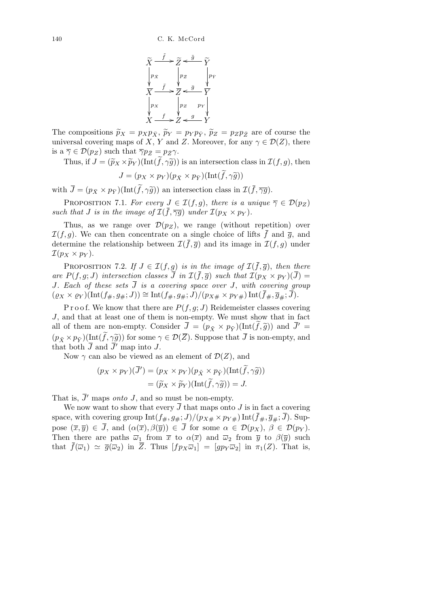

The compositions  $\tilde{p}_X = p_X p_{\bar{X}}, \tilde{p}_Y = p_Y p_{\bar{Y}}, \tilde{p}_Z = p_Z p_{\bar{Z}}$  are of course the universal covering maps of *X*, *Y* and *Z*. Moreover, for any  $\gamma \in \mathcal{D}(Z)$ , there is a  $\overline{\gamma} \in \mathcal{D}(p_Z)$  such that  $\overline{\gamma}p_{\overline{Z}} = p_{\overline{Z}}\gamma$ .

Thus, if  $J = (\widetilde{p}_X \times \widetilde{p}_Y)(\text{Int}(\widetilde{f}, \gamma \widetilde{g}))$  is an intersection class in  $\mathcal{I}(f, g)$ , then

$$
J = (p_X \times p_Y)(p_{\bar{X}} \times p_{\bar{Y}})(\text{Int}(\widetilde{f}, \gamma \widetilde{g}))
$$

with  $\bar{J} = (p_{\bar{X}} \times p_{\bar{Y}})(\text{Int}(\tilde{f}, \gamma \tilde{g}))$  an intersection class in  $\mathcal{I}(\bar{f}, \overline{\gamma g})$ .

PROPOSITION 7.1. *For every*  $J \in \mathcal{I}(f,g)$ , *there is a unique*  $\overline{\gamma} \in \mathcal{D}(p_Z)$ *such that J is in the image of*  $\mathcal{I}(\bar{f}, \bar{\gamma g})$  *under*  $\mathcal{I}(p_X \times p_Y)$ *.* 

Thus, as we range over  $\mathcal{D}(p_Z)$ , we range (without repetition) over  $I(f,g)$ . We can then concentrate on a single choice of lifts  $\bar{f}$  and  $\bar{g}$ , and determine the relationship between  $\mathcal{I}(\bar{f}, \bar{g})$  and its image in  $\mathcal{I}(f, g)$  under  $\mathcal{I}(p_X \times p_Y)$ .

PROPOSITION 7.2. *If*  $J \in \mathcal{I}(f,g)$  *is in the image of*  $\mathcal{I}(\bar{f},\bar{g})$ , *then there are*  $P(f, g; J)$  *intersection classes*  $\overline{J}$  *in*  $\mathcal{I}(\overline{f}, \overline{g})$  *such that*  $\mathcal{I}(p_X \times p_Y)(\overline{J}) =$ *J. Each of these sets J is a covering space over J*, *with covering group*  $(\varrho_X \times \varrho_Y)(\text{Int}(f_{\#}, g_{\#}; J)) \cong \text{Int}(f_{\#}, g_{\#}; J)/(p_{X\#} \times p_{Y\#}) \text{Int}(\overline{f}_{\#}, \overline{g}_{\#}; \overline{J}).$ 

P r o o f. We know that there are  $P(f, g; J)$  Reidemeister classes covering *J*, and that at least one of them is non-empty. We must show that in fact all of them are non-empty. Consider  $\overline{J} = (\overline{p}_{\tilde{X}} \times p_{\tilde{Y}})(\text{Int}(\tilde{f}, \tilde{g}))$  and  $\overline{J}' =$  $(p_{\tilde{X}} \times p_{\tilde{Y}})(\text{Int}(\tilde{f}, \gamma \tilde{g}))$  for some  $\gamma \in \mathcal{D}(\overline{Z})$ . Suppose that  $\overline{J}$  is non-empty, and that both  $\overline{J}$  and  $\overline{J}'$  map into  $J$ .

Now  $\gamma$  can also be viewed as an element of  $\mathcal{D}(Z)$ , and

$$
(p_X \times p_Y)(\overline{J}') = (p_X \times p_Y)(p_{\tilde{X}} \times p_{\tilde{Y}})(Int(\tilde{f}, \gamma \tilde{g}))
$$
  
=  $(\tilde{p}_X \times \tilde{p}_Y)(Int(\tilde{f}, \gamma \tilde{g})) = J.$ 

That is,  $\overline{J}'$  maps *onto J*, and so must be non-empty.

We now want to show that every  $\overline{J}$  that maps onto  $J$  is in fact a covering space, with covering group  $Int(f_{\#}, g_{\#}; J)/(p_{X\#} \times p_{Y\#}) Int(\bar{f}_{\#}, \bar{g}_{\#}; \bar{J}).$  Suppose  $(\overline{x}, \overline{y}) \in \overline{J}$ , and  $(\alpha(\overline{x}), \beta(\overline{y})) \in \overline{J}$  for some  $\alpha \in \mathcal{D}(p_X)$ ,  $\beta \in \mathcal{D}(p_Y)$ . Then there are paths  $\overline{\omega}_1$  from  $\overline{x}$  to  $\alpha(\overline{x})$  and  $\overline{\omega}_2$  from  $\overline{y}$  to  $\beta(\overline{y})$  such that  $\bar{f}(\bar{\omega}_1) \simeq \bar{g}(\bar{\omega}_2)$  in  $\bar{Z}$ . Thus  $[f p_X \bar{\omega}_1] = [qp_Y \bar{\omega}_2]$  in  $\pi_1(Z)$ . That is,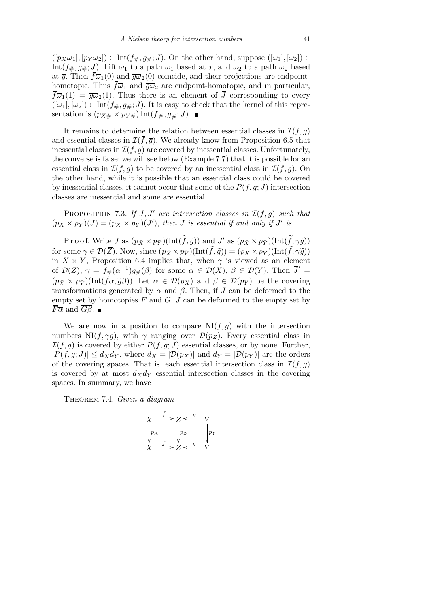$([p_X\overline{\omega}_1], [p_Y\overline{\omega}_2]) \in \text{Int}(f_{\#}, g_{\#}; J)$ . On the other hand, suppose  $([\omega_1], [\omega_2]) \in$ Int( $f_{\#}, g_{\#}; J$ ). Lift  $\omega_1$  to a path  $\overline{\omega}_1$  based at  $\overline{x}$ , and  $\omega_2$  to a path  $\overline{\omega}_2$  based at  $\bar{y}$ . Then  $\bar{f}\bar{\omega}_1(0)$  and  $\bar{g}\bar{\omega}_2(0)$  coincide, and their projections are endpointhomotopic. Thus  $\bar{f}\overline{\omega}_1$  and  $\bar{g}\overline{\omega}_2$  are endpoint-homotopic, and in particular,  $\bar{f}\overline{\omega}_1(1) = \bar{g}\overline{\omega}_2(1)$ . Thus there is an element of  $\bar{J}$  corresponding to every  $([\omega_1], [\omega_2]) \in \text{Int}(f_{\#}, g_{\#}; J)$ . It is easy to check that the kernel of this representation is  $(p_{X\#} \times p_{Y\#})$  Int $(\bar{f}_{\#}, \bar{g}_{\#}; \bar{J})$ .

It remains to determine the relation between essential classes in  $\mathcal{I}(f, q)$ and essential classes in  $\mathcal{I}(\bar{f}, \bar{g})$ . We already know from Proposition 6.5 that inessential classes in  $\mathcal{I}(f,g)$  are covered by inessential classes. Unfortunately, the converse is false: we will see below (Example 7.7) that it is possible for an essential class in  $\mathcal{I}(f,g)$  to be covered by an inessential class in  $\mathcal{I}(f,\overline{g})$ . On the other hand, while it is possible that an essential class could be covered by inessential classes, it cannot occur that some of the  $P(f, g; J)$  intersection classes are inessential and some are essential.

PROPOSITION 7.3. If  $\overline{J}$ ,  $\overline{J}$ <sup>*f*</sup> are intersection classes in  $\mathcal{I}(\overline{f}, \overline{g})$  such that  $(p_X \times p_Y)(\overline{J}) = (p_X \times p_Y)(\overline{J}'), \text{ then } \overline{J} \text{ is essential if and only if } \overline{J}' \text{ is.}$ 

Proof. Write  $\overline{J}$  as  $(p_{\bar{X}} \times p_{\bar{Y}})(\text{Int}(\widetilde{f}, \widetilde{g}))$  and  $\overline{J}'$  as  $(p_{\bar{X}} \times p_{\bar{Y}})(\text{Int}(\widetilde{f}, \gamma \widetilde{g}))$ for some  $\gamma \in \mathcal{D}(\overline{Z})$ . Now, since  $(p_{\overline{X}} \times p_{\overline{Y}})(\text{Int}(\widetilde{f}, \widetilde{g})) = (p_X \times p_Y)(\text{Int}(\widetilde{f}, \gamma \widetilde{g}))$ in  $X \times Y$ , Proposition 6.4 implies that, when  $\gamma$  is viewed as an element of  $\mathcal{D}(Z)$ ,  $\gamma = f_{\#}(\alpha^{-1})g_{\#}(\beta)$  for some  $\alpha \in \mathcal{D}(X)$ ,  $\beta \in \mathcal{D}(Y)$ . Then  $\overline{J}' =$  $(p_{\bar{X}} \times p_{\bar{Y}})(\text{Int}(\tilde{f}\alpha, \tilde{g}\beta)).$  Let  $\overline{\alpha} \in \mathcal{D}(p_X)$  and  $\overline{\beta} \in \mathcal{D}(p_Y)$  be the covering transformations generated by  $\alpha$  and  $\beta$ . Then, if *J* can be deformed to the empty set by homotopies  $\overline{F}$  and  $\overline{G}$ ,  $\overline{J}$  can be deformed to the empty set by *F* $\overline{\alpha}$  and  $\overline{G\beta}$ . ■

We are now in a position to compare  $N I(f, g)$  with the intersection numbers NI( $\bar{f}, \overline{\gamma g}$ ), with  $\bar{\gamma}$  ranging over  $\mathcal{D}(p_Z)$ . Every essential class in  $I(f,g)$  is covered by either  $P(f,g;J)$  essential classes, or by none. Further,  $|P(f,g;J)| \leq d_X d_Y$ , where  $d_X = |D(p_X)|$  and  $d_Y = |D(p_Y)|$  are the orders of the covering spaces. That is, each essential intersection class in  $\mathcal{I}(f,g)$ is covered by at most  $d_X d_Y$  essential intersection classes in the covering spaces. In summary, we have

Theorem 7.4. *Given a diagram*

$$
\overline{X} \xrightarrow{\overline{f}} \overline{Z} \xleftarrow{\overline{g}} \overline{Y}
$$
\n
$$
\downarrow p_X
$$
\n
$$
\downarrow p_Z
$$
\n
$$
\downarrow p_Y
$$
\n
$$
X \xrightarrow{f} Z \xleftarrow{g} Y
$$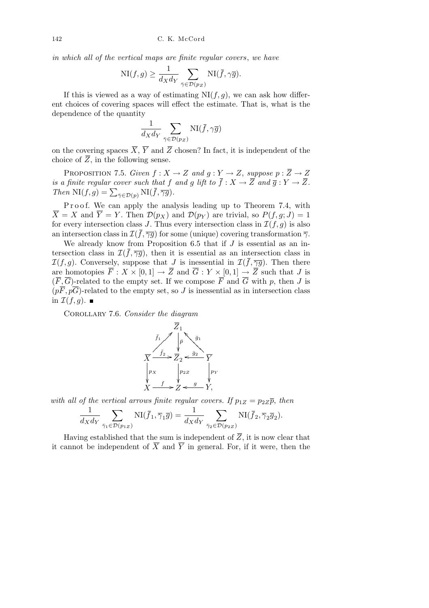*in which all of the vertical maps are finite regular covers*, *we have*

$$
\mathrm{NI}(f,g)\geq \frac{1}{d_Xd_Y}\sum_{\bar{\gamma}\in \mathcal{D}(p_Z)}\mathrm{NI}(\bar{f},\gamma\bar{g}).
$$

If this is viewed as a way of estimating  $N I(f, g)$ , we can ask how different choices of covering spaces will effect the estimate. That is, what is the dependence of the quantity

$$
\frac{1}{d_X d_Y} \sum_{\bar{\gamma} \in \mathcal{D}(p_Z)} \text{NI}(\bar{f}, \gamma \overline{g})
$$

on the covering spaces  $\overline{X}$ ,  $\overline{Y}$  and  $\overline{Z}$  chosen? In fact, it is independent of the choice of  $\overline{Z}$ , in the following sense.

PROPOSITION 7.5. *Given*  $f: X \to Z$  *and*  $g: Y \to Z$ , *suppose*  $p: \overline{Z} \to Z$ *is a finite regular cover such that*  $f$  *and*  $g$  *lift to*  $\overline{f}$  :  $X \rightarrow \overline{Z}$  *and*  $\overline{g}$  :  $Y \rightarrow \overline{Z}$ *. Then*  $\text{NI}(f, g) = \sum_{\bar{\gamma} \in \mathcal{D}(p)} \text{NI}(\bar{f}, \overline{\gamma g}).$ 

P roof. We can apply the analysis leading up to Theorem 7.4, with  $\overline{X} = X$  and  $\overline{Y} = Y$ . Then  $\mathcal{D}(p_X)$  and  $\mathcal{D}(p_Y)$  are trivial, so  $P(f, g; J) = 1$ for every intersection class *J*. Thus every intersection class in  $\mathcal{I}(f, g)$  is also an intersection class in  $\mathcal{I}(\bar{f}, \overline{\gamma g})$  for some (unique) covering transformation  $\bar{\gamma}$ .

We already know from Proposition 6.5 that if *J* is essential as an intersection class in  $\mathcal{I}(\bar{f}, \overline{\gamma g})$ , then it is essential as an intersection class in *I*(*f, g*). Conversely, suppose that *J* is inessential in  $\mathcal{I}(\bar{f}, \overline{\gamma g})$ . Then there are homotopies  $\overline{F}: X \times [0,1] \to \overline{Z}$  and  $\overline{G}: Y \times [0,1] \to \overline{Z}$  such that *J* is  $(F, \overline{G})$ -related to the empty set. If we compose  $\overline{F}$  and  $\overline{G}$  with *p*, then *J* is  $(p\overline{F}, p\overline{G})$ -related to the empty set, so *J* is inessential as in intersection class in  $\mathcal{I}(f, q)$ .

Corollary 7.6. *Consider the diagram*



*with all of the vertical arrows finite regular covers. If*  $p_{1Z} = p_{2Z}\overline{p}$ , *then* 

$$
\frac{1}{d_X d_Y} \sum_{\bar{\gamma}_1 \in \mathcal{D}(p_{1Z})} \text{NI}(\bar{f}_1, \bar{\gamma}_1 \bar{g}) = \frac{1}{d_X d_Y} \sum_{\bar{\gamma}_2 \in \mathcal{D}(p_{2Z})} \text{NI}(\bar{f}_2, \bar{\gamma}_2 \bar{g}_2).
$$

Having established that the sum is independent of  $\overline{Z}$ , it is now clear that it cannot be independent of  $\overline{X}$  and  $\overline{Y}$  in general. For, if it were, then the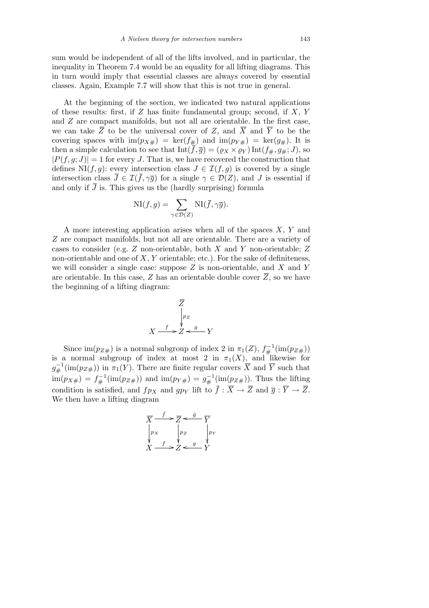sum would be independent of all of the lifts involved, and in particular, the inequality in Theorem 7.4 would be an equality for all lifting diagrams. This in turn would imply that essential classes are always covered by essential classes. Again, Example 7.7 will show that this is not true in general.

At the beginning of the section, we indicated two natural applications of these results: first, if *Z* has finite fundamental group; second, if *X*, *Y* and *Z* are compact manifolds, but not all are orientable. In the first case, we can take  $\overline{Z}$  to be the universal cover of  $Z$ , and  $\overline{X}$  and  $\overline{Y}$  to be the covering spaces with  $\text{im}(p_{X#}) = \text{ker}(f_{#})$  and  $\text{im}(p_{Y#}) = \text{ker}(g_{#})$ . It is then a simple calculation to see that  $\text{Int}(\bar{f}, \bar{g}) = (\varrho_X \times \varrho_Y) \text{Int}(\bar{f}, \bar{g}, \bar{g}, \bar{g})$ , so  $|P(f, g; J)| = 1$  for every *J*. That is, we have recovered the construction that defines NI $(f, g)$ : every intersection class  $J \in \mathcal{I}(f, g)$  is covered by a single intersection class  $\overline{J} \in \mathcal{I}(\overline{f}, \gamma \overline{g})$  for a single  $\gamma \in \mathcal{D}(Z)$ , and *J* is essential if and only if  $\bar{J}$  is. This gives us the (hardly surprising) formula

$$
\mathrm{NI}(f,g) = \sum_{\gamma \in \mathcal{D}(Z)} \mathrm{NI}(\bar{f}, \gamma \bar{g}).
$$

A more interesting application arises when all of the spaces *X*, *Y* and *Z* are compact manifolds, but not all are orientable. There are a variety of cases to consider (e.g. *Z* non-orientable, both *X* and *Y* non-orientable; *Z* non-orientable and one of *X*, *Y* orientable; etc.). For the sake of definiteness, we will consider a single case: suppose *Z* is non-orientable, and *X* and *Y* are orientable. In this case,  $Z$  has an orientable double cover  $\overline{Z}$ , so we have the beginning of a lifting diagram:



Since  $\text{im}(p_{Z\#})$  is a normal subgroup of index 2 in  $\pi_1(Z)$ ,  $f_{\#}^{-1}(\text{im}(p_{Z\#}))$ is a normal subgroup of index at most 2 in  $\pi_1(X)$ , and likewise for  $g_{\#}^{-1}(\text{im}(p_{Z\#}))$  in  $\pi_1(Y)$ . There are finite regular covers  $\overline{X}$  and  $\overline{Y}$  such that  $\lim(p_{X\#}) = f_{\#}^{-1}(\text{im}(p_{Z\#}))$  and  $\lim(p_{Y\#}) = g_{\#}^{-1}(\text{im}(p_{Z\#})).$  Thus the lifting condition is satisfied, and *fp<sub>X</sub>* and *gp<sub>Y</sub>* lift to  $\overline{f}$  :  $\overline{X} \rightarrow \overline{Z}$  and  $\overline{g}$  :  $\overline{Y} \rightarrow \overline{Z}$ . We then have a lifting diagram

$$
\overline{X} \xrightarrow{\overline{f}} \overline{Z} \xleftarrow{\overline{g}} \overline{Y}
$$
\n
$$
\downarrow p_X \qquad \downarrow p_Z \qquad \downarrow p_Y
$$
\n
$$
\overline{X} \xrightarrow{f} \overline{Z} \xleftarrow{g} \overline{Y}
$$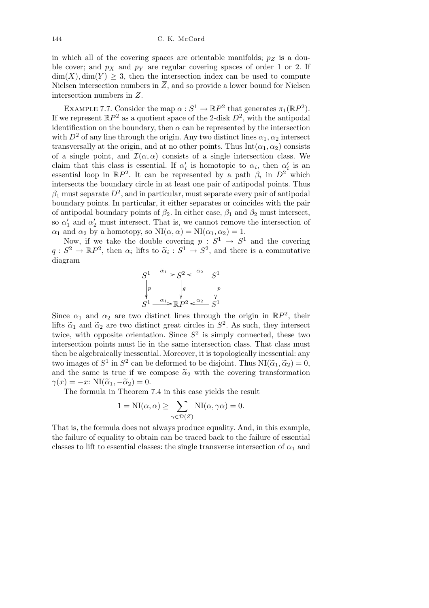in which all of the covering spaces are orientable manifolds; *p<sup>Z</sup>* is a double cover; and  $p<sub>X</sub>$  and  $p<sub>Y</sub>$  are regular covering spaces of order 1 or 2. If  $\dim(X)$ ,  $\dim(Y) > 3$ , then the intersection index can be used to compute Nielsen intersection numbers in  $\overline{Z}$ , and so provide a lower bound for Nielsen intersection numbers in *Z*.

EXAMPLE 7.7. Consider the map  $\alpha : S^1 \to \mathbb{R}P^2$  that generates  $\pi_1(\mathbb{R}P^2)$ . If we represent  $\mathbb{R}P^2$  as a quotient space of the 2-disk  $D^2$ , with the antipodal identification on the boundary, then  $\alpha$  can be represented by the intersection with  $D^2$  of any line through the origin. Any two distinct lines  $\alpha_1, \alpha_2$  intersect transversally at the origin, and at no other points. Thus  $Int(\alpha_1, \alpha_2)$  consists of a single point, and  $\mathcal{I}(\alpha,\alpha)$  consists of a single intersection class. We claim that this class is essential. If  $\alpha'_{i}$  is homotopic to  $\alpha_{i}$ , then  $\alpha'_{i}$  is an essential loop in  $\mathbb{R}P^2$ . It can be represented by a path  $\beta_i$  in  $D^2$  which intersects the boundary circle in at least one pair of antipodal points. Thus  $\beta_1$  must separate  $D^2$ , and in particular, must separate every pair of antipodal boundary points. In particular, it either separates or coincides with the pair of antipodal boundary points of  $\beta_2$ . In either case,  $\beta_1$  and  $\beta_2$  must intersect, so  $\alpha'_1$  and  $\alpha'_2$  must intersect. That is, we cannot remove the intersection of *α*<sub>1</sub> and *α*<sub>2</sub> by a homotopy, so  $\text{NI}(\alpha, \alpha) = \text{NI}(\alpha_1, \alpha_2) = 1$ .

Now, if we take the double covering  $p: S^1 \to S^1$  and the covering  $q: S^2 \to \mathbb{R}P^2$ , then  $\alpha_i$  lifts to  $\tilde{\alpha}_i: S^1 \to S^2$ , and there is a commutative diagram

$$
S^1 \xrightarrow{\tilde{\alpha}_1} S^2 \xleftarrow{\tilde{\alpha}_2} S^1
$$
\n
$$
\downarrow p
$$
\n
$$
S^1 \xrightarrow{\alpha_1} \mathbb{R} P^2 \xleftarrow{\alpha_2} S^1
$$

Since  $\alpha_1$  and  $\alpha_2$  are two distinct lines through the origin in  $\mathbb{R}P^2$ , their lifts  $\tilde{\alpha}_1$  and  $\tilde{\alpha}_2$  are two distinct great circles in  $S^2$ . As such, they intersect twice, with opposite orientation. Since  $S^2$  is simply connected, these two intersection points must lie in the same intersection class. That class must then be algebraically inessential. Moreover, it is topologically inessential: any two images of  $S^1$  in  $S^2$  can be deformed to be disjoint. Thus  $\text{NI}(\widetilde{\alpha}_1, \widetilde{\alpha}_2) = 0$ , and the same is true if we compose  $\tilde{\alpha}_2$  with the covering transformation  $\gamma(x) = -x$ : NI( $\tilde{\alpha}_1, -\tilde{\alpha}_2$ ) = 0.

The formula in Theorem 7.4 in this case yields the result

$$
1 = NI(\alpha, \alpha) \ge \sum_{\gamma \in \mathcal{D}(Z)} NI(\overline{\alpha}, \gamma \overline{\alpha}) = 0.
$$

That is, the formula does not always produce equality. And, in this example, the failure of equality to obtain can be traced back to the failure of essential classes to lift to essential classes: the single transverse intersection of  $\alpha_1$  and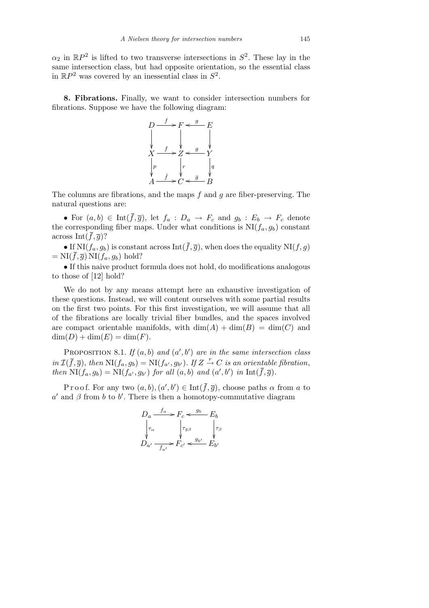$\alpha_2$  in  $\mathbb{R}P^2$  is lifted to two transverse intersections in  $S^2$ . These lay in the same intersection class, but had opposite orientation, so the essential class in  $\mathbb{R}P^2$  was covered by an inessential class in  $S^2$ .

**8. Fibrations.** Finally, we want to consider intersection numbers for fibrations. Suppose we have the following diagram:

$$
D \xrightarrow{f} F \xleftarrow{g} E
$$
\n
$$
\downarrow \qquad \qquad F \xleftarrow{g} F
$$
\n
$$
\downarrow \qquad \qquad Y
$$
\n
$$
\downarrow \qquad \qquad Y
$$
\n
$$
\downarrow \qquad \qquad Y
$$
\n
$$
\downarrow \qquad \qquad \downarrow \qquad \qquad Y
$$
\n
$$
\downarrow \qquad \qquad \downarrow \qquad \qquad Y
$$
\n
$$
\downarrow \qquad \qquad \downarrow \qquad \qquad \downarrow \qquad \qquad \downarrow \qquad \downarrow \qquad \downarrow \qquad \downarrow \qquad \downarrow \qquad \downarrow \qquad \downarrow \qquad \downarrow \qquad \downarrow \qquad \downarrow \qquad \downarrow \qquad \downarrow \qquad \downarrow \qquad \downarrow \qquad \downarrow \qquad \downarrow \qquad \downarrow \qquad \downarrow \qquad \downarrow \qquad \downarrow \qquad \downarrow \qquad \downarrow \qquad \downarrow \qquad \downarrow \qquad \downarrow \qquad \downarrow \qquad \downarrow \qquad \downarrow \qquad \downarrow \qquad \downarrow \qquad \downarrow \qquad \downarrow \qquad \downarrow \qquad \downarrow \qquad \downarrow \qquad \downarrow \qquad \downarrow \qquad \downarrow \qquad \downarrow \qquad \downarrow \qquad \downarrow \qquad \downarrow \qquad \downarrow \qquad \downarrow \qquad \downarrow \qquad \downarrow \qquad \downarrow \qquad \downarrow \qquad \downarrow \qquad \downarrow \qquad \downarrow \qquad \downarrow \qquad \downarrow \qquad \downarrow \qquad \downarrow \qquad \downarrow \qquad \downarrow \qquad \downarrow \qquad \downarrow \qquad \downarrow \qquad \downarrow \qquad \downarrow \qquad \downarrow \qquad \downarrow \qquad \downarrow \qquad \downarrow \qquad \downarrow \qquad \downarrow \qquad \downarrow \qquad \downarrow \qquad \downarrow \qquad \downarrow \qquad \downarrow \qquad \downarrow \qquad \downarrow \qquad \downarrow \qquad \downarrow \qquad \downarrow \qquad \downarrow \qquad \downarrow \qquad \downarrow \qquad \downarrow \qquad \downarrow \qquad \downarrow \qquad \downarrow \qquad \downarrow \qquad \downarrow \qquad \downarrow \qquad \downarrow \qquad \downarrow \qquad \downarrow \qquad \downarrow \qquad \downarrow \qquad \downarrow \qquad \downarrow
$$

The columns are fibrations, and the maps *f* and *g* are fiber-preserving. The natural questions are:

• For  $(a, b) \in \text{Int}(\overline{f}, \overline{g})$ , let  $f_a : D_a \to F_c$  and  $g_b : E_b \to F_c$  denote the corresponding fiber maps. Under what conditions is  $NI(f_a, g_b)$  constant across Int $(f, \overline{q})$ ?

• If  $\text{NI}(f_a, g_b)$  is constant across  $\text{Int}(\bar{f}, \bar{g})$ , when does the equality  $\text{NI}(f, g)$  $= NI(\bar{f}, \bar{g}) NI(f_a, g_b) hold?$ 

• If this naive product formula does not hold, do modifications analogous to those of [12] hold?

We do not by any means attempt here an exhaustive investigation of these questions. Instead, we will content ourselves with some partial results on the first two points. For this first investigation, we will assume that all of the fibrations are locally trivial fiber bundles, and the spaces involved are compact orientable manifolds, with  $\dim(A) + \dim(B) = \dim(C)$  and  $dim(D) + dim(E) = dim(F).$ 

PROPOSITION 8.1. *If*  $(a, b)$  *and*  $(a', b')$  *are in the same intersection class* in  $\mathcal{I}(\bar{f},\bar{g})$ , then  $\text{NI}(f_a,g_b) = \text{NI}(f_{a'},g_{b'})$ . If  $Z \stackrel{r}{\rightarrow} C$  is an orientable fibration, then  $\text{NI}(f_a, g_b) = \text{NI}(f_{a'}, g_{b'})$  for all  $(a, b)$  and  $(a', b')$  in  $\text{Int}(\bar{f}, \bar{g})$ .

Proof. For any two  $(a, b), (a', b') \in \text{Int}(\bar{f}, \bar{g})$ , choose paths  $\alpha$  from  $a$  to  $a'$  and  $\beta$  from *b* to *b*<sup> $\prime$ </sup>. There is then a homotopy-commutative diagram

$$
D_a \xrightarrow{f_a} F_c \xleftarrow{g_b} E_b
$$
  
\n
$$
\downarrow{\tau_\alpha}
$$
  
\n
$$
\downarrow{\tau_\beta}
$$
  
\n
$$
D_{a'} \xrightarrow{f_{a'}} F_{c'} \xleftarrow{g_{b'}} E_{b'}
$$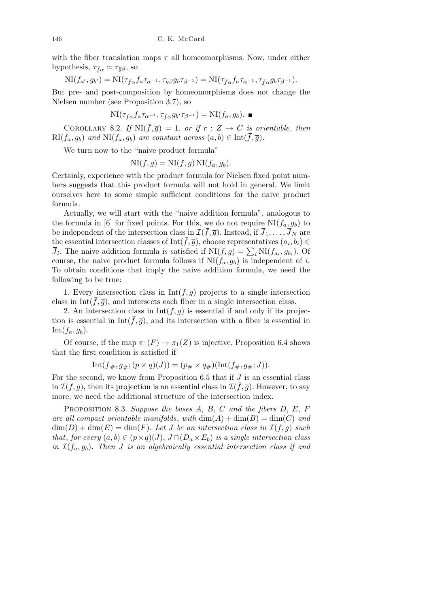with the fiber translation maps  $\tau$  all homeomorphisms. Now, under either hypothesis,  $\tau_{\bar{f}\alpha} \simeq \tau_{\bar{g}\beta}$ , so

$$
\mathrm{NI}(f_{a'}, g_{b'}) = \mathrm{NI}(\tau_{\bar{f}\alpha} f_a \tau_{\alpha^{-1}}, \tau_{\bar{g}\beta} g_b \tau_{\beta^{-1}}) = \mathrm{NI}(\tau_{\bar{f}\alpha} f_a \tau_{\alpha^{-1}}, \tau_{\bar{f}\alpha} g_b \tau_{\beta^{-1}}).
$$

But pre- and post-composition by homeomorphisms does not change the Nielsen number (see Proposition 3.7), so

$$
\mathrm{NI}(\tau_{\bar{f}\alpha}f_a\tau_{\alpha^{-1}}, \tau_{\bar{f}\alpha}g_{b'}\tau_{\beta^{-1}})=\mathrm{NI}(f_a, g_b).
$$

COROLLARY 8.2. If  $NI(\bar{f}, \bar{g}) = 1$ , or if  $r : Z \rightarrow C$  is orientable, then  $\text{RI}(f_a, g_b)$  *and*  $\text{NI}(f_a, g_b)$  *are constant across*  $(a, b) \in \text{Int}(\bar{f}, \bar{g})$ *.* 

We turn now to the "naive product formula"

$$
\mathrm{NI}(f,g) = \mathrm{NI}(\overline{f},\overline{g})\,\mathrm{NI}(f_a,g_b).
$$

Certainly, experience with the product formula for Nielsen fixed point numbers suggests that this product formula will not hold in general. We limit ourselves here to some simple sufficient conditions for the naive product formula.

Actually, we will start with the "naive addition formula", analogous to the formula in [6] for fixed points. For this, we do not require  $NI(f_a, g_b)$  to be independent of the intersection class in  $\mathcal{I}(\bar{f}, \bar{g})$ . Instead, if  $\bar{J}_1, \ldots, \bar{J}_N$  are the essential intersection classes of  $Int(f, \overline{g})$ , choose representatives  $(a_i, b_i) \in$  $\overline{J}_i$ . The naive addition formula is satisfied if  $\text{NI}(f,g) = \sum_i \text{NI}(f_{a_i}, g_{b_i})$ . Of course, the naive product formula follows if  $N I(f_a, g_b)$  is independent of *i*. To obtain conditions that imply the naive addition formula, we need the following to be true:

1. Every intersection class in  $Int(f, g)$  projects to a single intersection class in Int( $\bar{f}, \bar{g}$ ), and intersects each fiber in a single intersection class.

2. An intersection class in  $Int(f, g)$  is essential if and only if its projection is essential in  $Int(\bar{f}, \bar{g})$ , and its intersection with a fiber is essential in  $Int(f_a, g_b).$ 

Of course, if the map  $\pi_1(F) \to \pi_1(Z)$  is injective, Proposition 6.4 shows that the first condition is satisfied if

$$
\mathrm{Int}(\bar{f}_{\#},\overline{g}_{\#};(p\times q)(J))=(p_{\#}\times q_{\#})(\mathrm{Int}(f_{\#},g_{\#};J)).
$$

For the second, we know from Proposition 6.5 that if *J* is an essential class in  $\mathcal{I}(f,g)$ , then its projection is an essential class in  $\mathcal{I}(f,\overline{g})$ . However, to say more, we need the additional structure of the intersection index.

Proposition 8.3. *Suppose the bases A*, *B*, *C and the fibers D*, *E*, *F are all compact orientable manifolds, with*  $\dim(A) + \dim(B) = \dim(C)$  *and*  $\dim(D) + \dim(E) = \dim(F)$ . Let *J* be an intersection class in  $\mathcal{I}(f,g)$  such *that, for every*  $(a, b) \in (p \times q)(J)$ ,  $J \cap (D_a \times E_b)$  *is a single intersection class in*  $\mathcal{I}(f_a, g_b)$ *. Then J is an algebraically essential intersection class if and*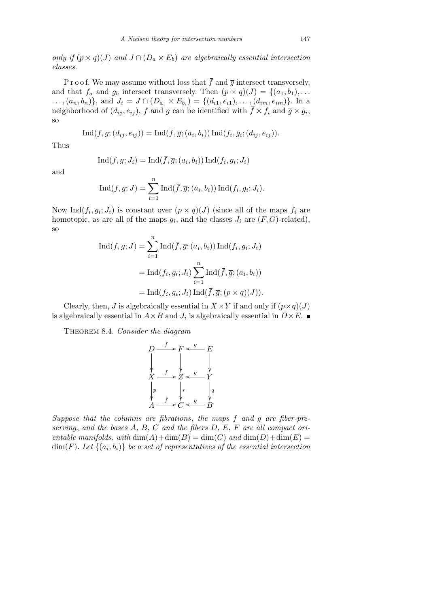*only if*  $(p \times q)(J)$  *and*  $J \cap (D_a \times E_b)$  *are algebraically essential intersection classes.*

P r o o f. We may assume without loss that  $\bar{f}$  and  $\bar{g}$  intersect transversely, and that  $f_a$  and  $g_b$  intersect transversely. Then  $(p \times q)(J) = \{(a_1, b_1), \ldots\}$ ...,  $(a_n, b_n)$ , and  $J_i = J \cap (D_{a_i} \times E_{b_i}) = \{(d_{i1}, e_{i1}), \dots, (d_{im}, e_{im})\}$ . In a neighborhood of  $(d_{ij}, e_{ij})$ ,  $f$  and  $g$  can be identified with  $\bar{f} \times f_i$  and  $\bar{g} \times g_i$ , so

$$
\operatorname{Ind}(f, g; (d_{ij}, e_{ij})) = \operatorname{Ind}(\overline{f}, \overline{g}; (a_i, b_i)) \operatorname{Ind}(f_i, g_i; (d_{ij}, e_{ij})).
$$

Thus

$$
Ind(f, g; J_i) = Ind(\overline{f}, \overline{g}; (a_i, b_i)) Ind(f_i, g_i; J_i)
$$

and

$$
\operatorname{Ind}(f,g;J) = \sum_{i=1}^{n} \operatorname{Ind}(\overline{f}, \overline{g}; (a_i, b_i)) \operatorname{Ind}(f_i, g_i; J_i).
$$

Now Ind $(f_i, g_i; J_i)$  is constant over  $(p \times q)(J)$  (since all of the maps  $f_i$  are homotopic, as are all of the maps  $g_i$ , and the classes  $J_i$  are  $(F, G)$ -related), so

$$
\text{Ind}(f, g; J) = \sum_{i=1}^{n} \text{Ind}(\bar{f}, \bar{g}; (a_i, b_i)) \text{Ind}(f_i, g_i; J_i)
$$

$$
= \text{Ind}(f_i, g_i; J_i) \sum_{i=1}^{n} \text{Ind}(\bar{f}, \bar{g}; (a_i, b_i))
$$

$$
= \text{Ind}(f_i, g_i; J_i) \text{Ind}(\bar{f}, \bar{g}; (p \times q)(J)).
$$

Clearly, then, *J* is algebraically essential in  $X \times Y$  if and only if  $(p \times q)(J)$ is algebraically essential in  $A \times B$  and  $J_i$  is algebraically essential in  $D \times E$ .

Theorem 8.4. *Consider the diagram*

$$
D \xrightarrow{f} F \xleftarrow{g} E
$$
  
\n
$$
\downarrow \qquad \qquad F \xleftarrow{g} F
$$
  
\n
$$
\downarrow \qquad \qquad Y \xleftarrow{g} Y
$$
  
\n
$$
\downarrow \qquad \qquad \downarrow \qquad \qquad Y
$$
  
\n
$$
\downarrow \qquad \qquad \downarrow \qquad \qquad \downarrow \qquad \qquad \downarrow
$$
  
\n
$$
A \xrightarrow{f} C \xleftarrow{g} B
$$

*Suppose that the columns are fibrations*, *the maps f and g are fiber-preserving*, *and the bases A*, *B*, *C and the fibers D*, *E*, *F are all compact orientable manifolds, with*  $dim(A) + dim(B) = dim(C)$  *and*  $dim(D) + dim(E) =$  $\dim(F)$ *. Let*  $\{(a_i,b_i)\}$  *be a set of representatives of the essential intersection*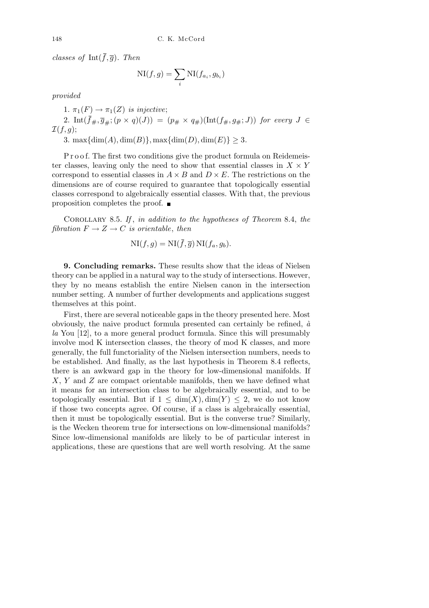*classes of* Int $(\bar{f}, \bar{g})$ *. Then* 

$$
\mathrm{NI}(f,g) = \sum_{i} \mathrm{NI}(f_{a_i}, g_{b_i})
$$

*provided*

1.  $\pi_1(F) \to \pi_1(Z)$  *is injective*; 2. Int $(\bar{f}_{\#}, \bar{g}_{\#}; (p \times q)(J)) = (p_{\#} \times q_{\#})(\text{Int}(f_{\#}, g_{\#}; J))$  for every  $J \in$ *I*(*f, g*);

3. max $\{\dim(A), \dim(B)\}, \max\{\dim(D), \dim(E)\} \ge 3$ .

P r o o f. The first two conditions give the product formula on Reidemeister classes, leaving only the need to show that essential classes in  $X \times Y$ correspond to essential classes in  $A \times B$  and  $D \times E$ . The restrictions on the dimensions are of course required to guarantee that topologically essential classes correspond to algebraically essential classes. With that, the previous proposition completes the proof.

Corollary 8.5. *If* , *in addition to the hypotheses of Theorem* 8.4, *the fibration*  $F \to Z \to C$  *is orientable, then* 

$$
\mathrm{NI}(f,g) = \mathrm{NI}(\overline{f}, \overline{g}) \,\mathrm{NI}(f_a, g_b).
$$

**9. Concluding remarks.** These results show that the ideas of Nielsen theory can be applied in a natural way to the study of intersections. However, they by no means establish the entire Nielsen canon in the intersection number setting. A number of further developments and applications suggest themselves at this point.

First, there are several noticeable gaps in the theory presented here. Most obviously, the naive product formula presented can certainly be refined, *`a la* You [12], to a more general product formula. Since this will presumably involve mod K intersection classes, the theory of mod K classes, and more generally, the full functoriality of the Nielsen intersection numbers, needs to be established. And finally, as the last hypothesis in Theorem 8.4 reflects, there is an awkward gap in the theory for low-dimensional manifolds. If *X*, *Y* and *Z* are compact orientable manifolds, then we have defined what it means for an intersection class to be algebraically essential, and to be topologically essential. But if  $1 \leq \dim(X)$ ,  $\dim(Y) \leq 2$ , we do not know if those two concepts agree. Of course, if a class is algebraically essential, then it must be topologically essential. But is the converse true? Similarly, is the Wecken theorem true for intersections on low-dimensional manifolds? Since low-dimensional manifolds are likely to be of particular interest in applications, these are questions that are well worth resolving. At the same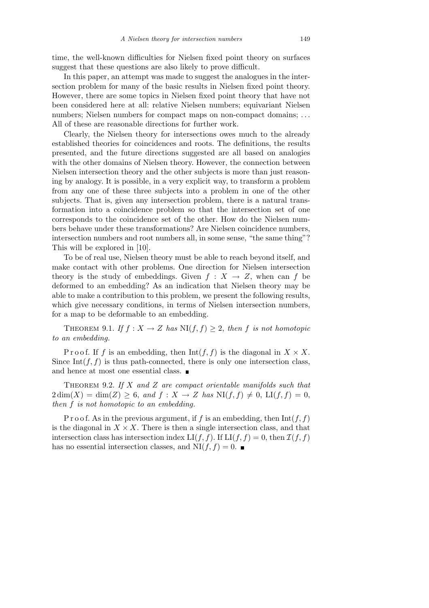time, the well-known difficulties for Nielsen fixed point theory on surfaces suggest that these questions are also likely to prove difficult.

In this paper, an attempt was made to suggest the analogues in the intersection problem for many of the basic results in Nielsen fixed point theory. However, there are some topics in Nielsen fixed point theory that have not been considered here at all: relative Nielsen numbers; equivariant Nielsen numbers; Nielsen numbers for compact maps on non-compact domains; *. . .* All of these are reasonable directions for further work.

Clearly, the Nielsen theory for intersections owes much to the already established theories for coincidences and roots. The definitions, the results presented, and the future directions suggested are all based on analogies with the other domains of Nielsen theory. However, the connection between Nielsen intersection theory and the other subjects is more than just reasoning by analogy. It is possible, in a very explicit way, to transform a problem from any one of these three subjects into a problem in one of the other subjects. That is, given any intersection problem, there is a natural transformation into a coincidence problem so that the intersection set of one corresponds to the coincidence set of the other. How do the Nielsen numbers behave under these transformations? Are Nielsen coincidence numbers, intersection numbers and root numbers all, in some sense, "the same thing"? This will be explored in [10].

To be of real use, Nielsen theory must be able to reach beyond itself, and make contact with other problems. One direction for Nielsen intersection theory is the study of embeddings. Given  $f : X \to Z$ , when can f be deformed to an embedding? As an indication that Nielsen theory may be able to make a contribution to this problem, we present the following results, which give necessary conditions, in terms of Nielsen intersection numbers, for a map to be deformable to an embedding.

THEOREM 9.1. *If*  $f: X \to Z$  *has*  $N I(f, f) \geq 2$ , *then f is not homotopic to an embedding.*

Proof. If *f* is an embedding, then  $Int(f, f)$  is the diagonal in  $X \times X$ . Since Int $(f, f)$  is thus path-connected, there is only one intersection class. and hence at most one essential class.  $\blacksquare$ 

Theorem 9.2. *If X and Z are compact orientable manifolds such that*  $2 \dim(X) = \dim(Z) \geq 6$ , and  $f: X \to Z$  has  $N(f, f) \neq 0$ ,  $L(f, f) = 0$ , *then f is not homotopic to an embedding.*

P r o o f. As in the previous argument, if  $f$  is an embedding, then  $Int(f, f)$ is the diagonal in  $X \times X$ . There is then a single intersection class, and that intersection class has intersection index  $LI(f, f)$ . If  $LI(f, f) = 0$ , then  $\mathcal{I}(f, f)$ has no essential intersection classes, and  $N I(f, f) = 0$ .